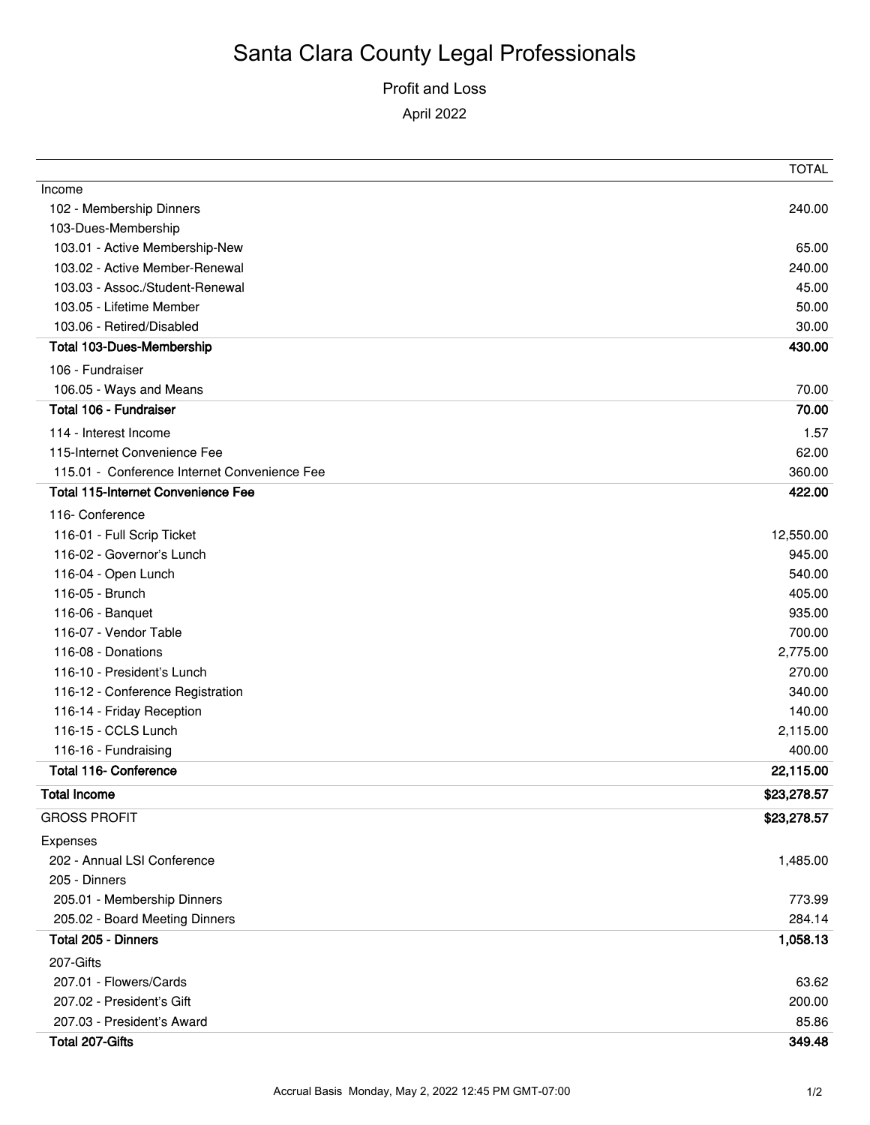### Profit and Loss

April 2022

|                                              | <b>TOTAL</b> |
|----------------------------------------------|--------------|
| Income                                       |              |
| 102 - Membership Dinners                     | 240.00       |
| 103-Dues-Membership                          |              |
| 103.01 - Active Membership-New               | 65.00        |
| 103.02 - Active Member-Renewal               | 240.00       |
| 103.03 - Assoc./Student-Renewal              | 45.00        |
| 103.05 - Lifetime Member                     | 50.00        |
| 103.06 - Retired/Disabled                    | 30.00        |
| <b>Total 103-Dues-Membership</b>             | 430.00       |
| 106 - Fundraiser                             |              |
| 106.05 - Ways and Means                      | 70.00        |
| Total 106 - Fundraiser                       | 70.00        |
| 114 - Interest Income                        | 1.57         |
| 115-Internet Convenience Fee                 | 62.00        |
| 115.01 - Conference Internet Convenience Fee | 360.00       |
| <b>Total 115-Internet Convenience Fee</b>    | 422.00       |
| 116- Conference                              |              |
| 116-01 - Full Scrip Ticket                   | 12,550.00    |
| 116-02 - Governor's Lunch                    | 945.00       |
| 116-04 - Open Lunch                          | 540.00       |
| 116-05 - Brunch                              | 405.00       |
| 116-06 - Banquet                             | 935.00       |
| 116-07 - Vendor Table                        | 700.00       |
| 116-08 - Donations                           | 2,775.00     |
| 116-10 - President's Lunch                   | 270.00       |
| 116-12 - Conference Registration             | 340.00       |
| 116-14 - Friday Reception                    | 140.00       |
| 116-15 - CCLS Lunch                          | 2,115.00     |
| 116-16 - Fundraising                         | 400.00       |
| <b>Total 116- Conference</b>                 | 22,115.00    |
| <b>Total Income</b>                          | \$23,278.57  |
|                                              |              |
| <b>GROSS PROFIT</b>                          | \$23,278.57  |
| Expenses                                     |              |
| 202 - Annual LSI Conference                  | 1,485.00     |
| 205 - Dinners                                |              |
| 205.01 - Membership Dinners                  | 773.99       |
| 205.02 - Board Meeting Dinners               | 284.14       |
| Total 205 - Dinners                          | 1,058.13     |
| 207-Gifts                                    |              |
| 207.01 - Flowers/Cards                       | 63.62        |
| 207.02 - President's Gift                    | 200.00       |
| 207.03 - President's Award                   | 85.86        |
| Total 207-Gifts                              | 349.48       |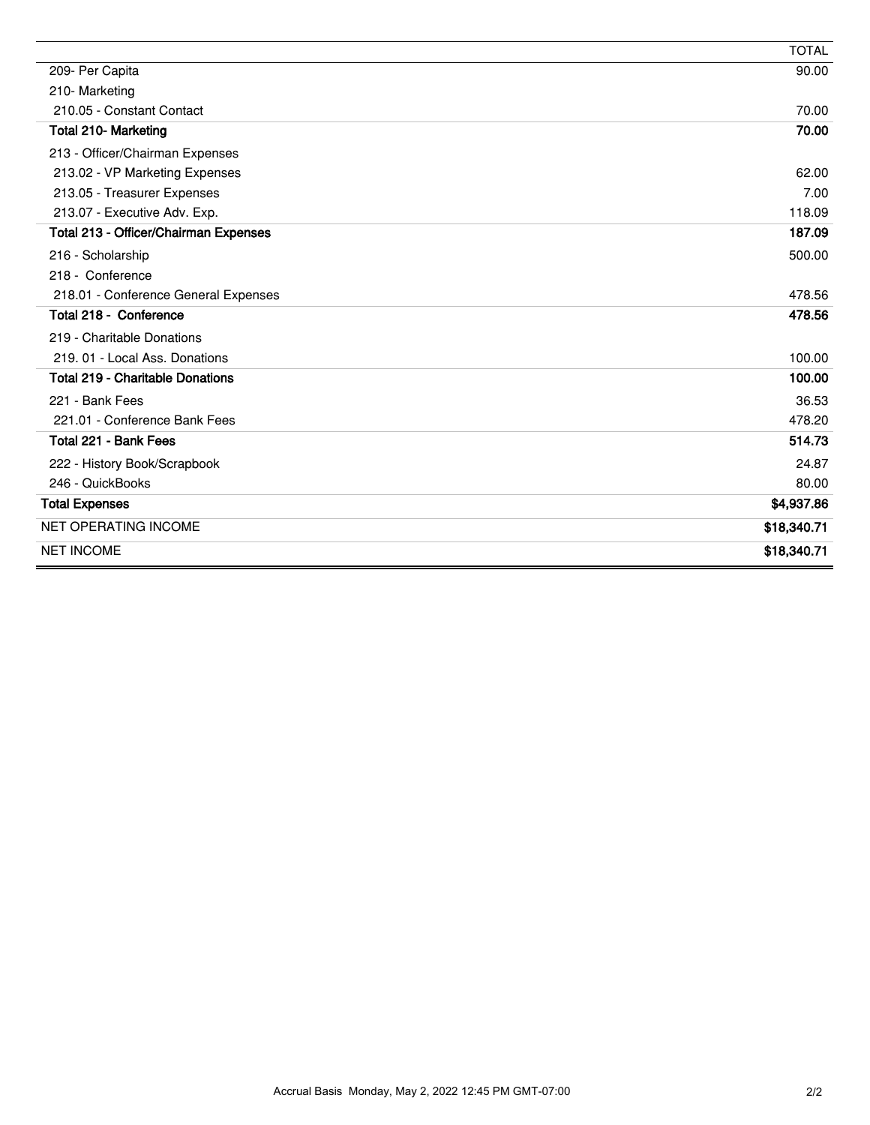|                                         | <b>TOTAL</b> |
|-----------------------------------------|--------------|
| 209- Per Capita                         | 90.00        |
| 210-Marketing                           |              |
| 210.05 - Constant Contact               | 70.00        |
| Total 210- Marketing                    | 70.00        |
| 213 - Officer/Chairman Expenses         |              |
| 213.02 - VP Marketing Expenses          | 62.00        |
| 213.05 - Treasurer Expenses             | 7.00         |
| 213.07 - Executive Adv. Exp.            | 118.09       |
| Total 213 - Officer/Chairman Expenses   | 187.09       |
| 216 - Scholarship                       | 500.00       |
| 218 - Conference                        |              |
| 218.01 - Conference General Expenses    | 478.56       |
| Total 218 - Conference                  | 478.56       |
| 219 - Charitable Donations              |              |
| 219, 01 - Local Ass. Donations          | 100.00       |
| <b>Total 219 - Charitable Donations</b> | 100.00       |
| 221 - Bank Fees                         | 36.53        |
| 221.01 - Conference Bank Fees           | 478.20       |
| Total 221 - Bank Fees                   | 514.73       |
| 222 - History Book/Scrapbook            | 24.87        |
| 246 - QuickBooks                        | 80.00        |
| <b>Total Expenses</b>                   | \$4,937.86   |
| <b>NET OPERATING INCOME</b>             | \$18,340.71  |
| <b>NET INCOME</b>                       | \$18,340.71  |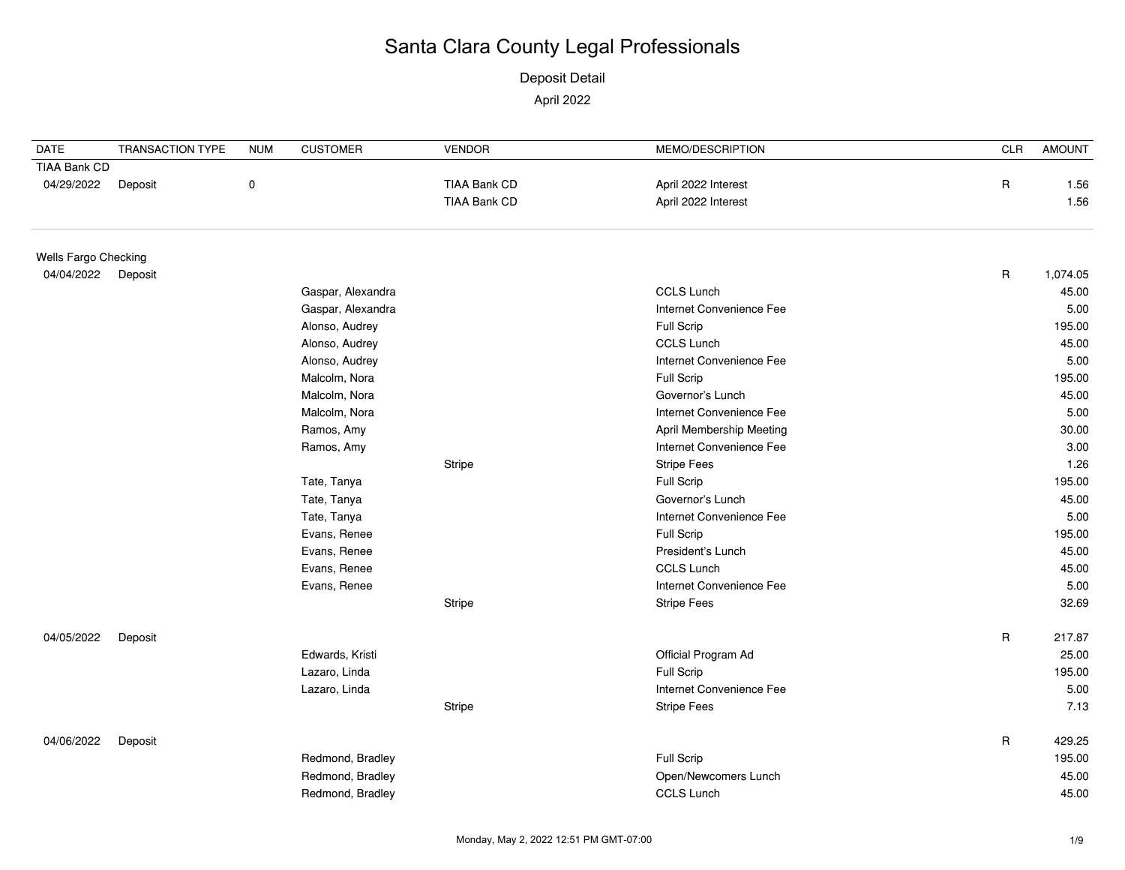Deposit Detail April 2022

| <b>DATE</b>          | <b>TRANSACTION TYPE</b> | <b>NUM</b>     | <b>CUSTOMER</b>   | <b>VENDOR</b>            | MEMO/DESCRIPTION                | <b>CLR</b>  | <b>AMOUNT</b> |
|----------------------|-------------------------|----------------|-------------------|--------------------------|---------------------------------|-------------|---------------|
| TIAA Bank CD         |                         |                |                   |                          |                                 |             |               |
| 04/29/2022           | Deposit                 | $\pmb{0}$      |                   | <b>TIAA Bank CD</b>      | April 2022 Interest             | R           | 1.56          |
|                      |                         |                |                   | <b>TIAA Bank CD</b>      | April 2022 Interest             |             | 1.56          |
| Wells Fargo Checking |                         |                |                   |                          |                                 |             |               |
| 04/04/2022           | Deposit                 |                |                   |                          |                                 | $\mathsf R$ | 1,074.05      |
|                      |                         |                | Gaspar, Alexandra |                          | <b>CCLS Lunch</b>               |             | 45.00         |
|                      |                         |                | Gaspar, Alexandra |                          | Internet Convenience Fee        |             | 5.00          |
|                      |                         |                | Alonso, Audrey    |                          | Full Scrip                      |             | 195.00        |
|                      |                         | Alonso, Audrey |                   | <b>CCLS Lunch</b>        |                                 | 45.00       |               |
|                      |                         | Alonso, Audrey |                   | Internet Convenience Fee |                                 | 5.00        |               |
|                      |                         | Malcolm, Nora  |                   | Full Scrip               |                                 | 195.00      |               |
|                      |                         | Malcolm, Nora  |                   | Governor's Lunch         |                                 | 45.00       |               |
|                      |                         | Malcolm, Nora  |                   | Internet Convenience Fee |                                 | 5.00        |               |
|                      |                         |                | Ramos, Amy        |                          | <b>April Membership Meeting</b> |             | 30.00         |
|                      |                         | Ramos, Amy     |                   | Internet Convenience Fee |                                 | 3.00        |               |
|                      |                         |                |                   | Stripe                   | <b>Stripe Fees</b>              |             | 1.26          |
|                      |                         |                | Tate, Tanya       |                          | Full Scrip                      |             | 195.00        |
|                      |                         |                | Tate, Tanya       |                          | Governor's Lunch                |             | 45.00         |
|                      |                         |                | Tate, Tanya       |                          | Internet Convenience Fee        |             | 5.00          |
|                      |                         |                | Evans, Renee      |                          | Full Scrip                      |             | 195.00        |
|                      |                         |                | Evans, Renee      |                          | President's Lunch               |             | 45.00         |
|                      |                         |                | Evans, Renee      |                          | <b>CCLS Lunch</b>               |             | 45.00         |
|                      |                         |                | Evans, Renee      |                          | Internet Convenience Fee        |             | 5.00          |
|                      |                         |                |                   | <b>Stripe</b>            | <b>Stripe Fees</b>              |             | 32.69         |
| 04/05/2022           | Deposit                 |                |                   |                          |                                 | $\mathsf R$ | 217.87        |
|                      |                         |                | Edwards, Kristi   |                          | Official Program Ad             |             | 25.00         |
|                      |                         |                | Lazaro, Linda     |                          | Full Scrip                      |             | 195.00        |
|                      |                         |                | Lazaro, Linda     |                          | Internet Convenience Fee        |             | 5.00          |
|                      |                         |                |                   | Stripe                   | <b>Stripe Fees</b>              |             | 7.13          |
| 04/06/2022           | Deposit                 |                |                   |                          |                                 | $\mathsf R$ | 429.25        |
|                      |                         |                | Redmond, Bradley  |                          | Full Scrip                      |             | 195.00        |
|                      |                         |                | Redmond, Bradley  |                          | Open/Newcomers Lunch            |             | 45.00         |
|                      |                         |                | Redmond, Bradley  |                          | CCLS Lunch                      |             | 45.00         |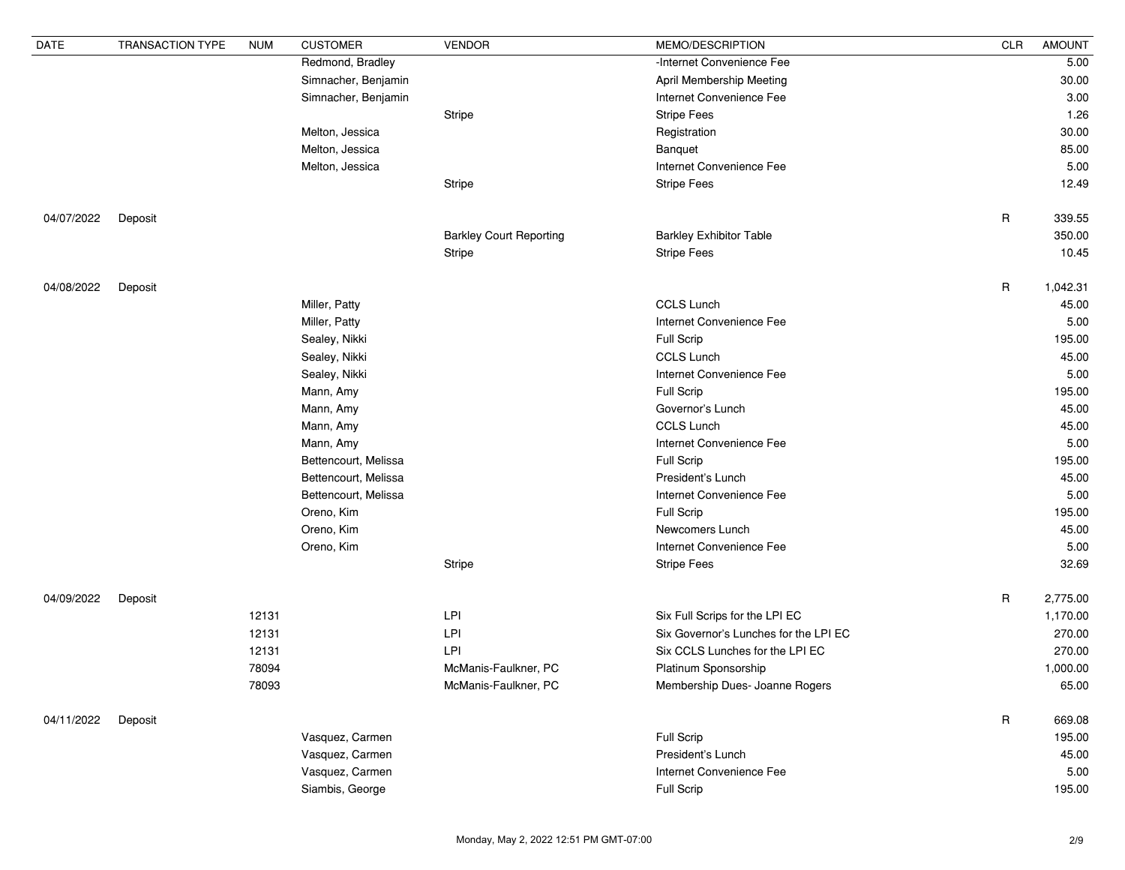| <b>DATE</b> | <b>TRANSACTION TYPE</b> | <b>NUM</b> | <b>CUSTOMER</b>      | <b>VENDOR</b>                  | MEMO/DESCRIPTION                      | <b>CLR</b>  | <b>AMOUNT</b> |
|-------------|-------------------------|------------|----------------------|--------------------------------|---------------------------------------|-------------|---------------|
|             |                         |            | Redmond, Bradley     |                                | -Internet Convenience Fee             |             | 5.00          |
|             |                         |            | Simnacher, Benjamin  |                                | April Membership Meeting              |             | 30.00         |
|             |                         |            | Simnacher, Benjamin  |                                | Internet Convenience Fee              |             | 3.00          |
|             |                         |            |                      | Stripe                         | <b>Stripe Fees</b>                    |             | 1.26          |
|             |                         |            | Melton, Jessica      |                                | Registration                          |             | 30.00         |
|             |                         |            | Melton, Jessica      |                                | Banquet                               |             | 85.00         |
|             |                         |            | Melton, Jessica      |                                | Internet Convenience Fee              |             | 5.00          |
|             |                         |            |                      | <b>Stripe</b>                  | <b>Stripe Fees</b>                    |             | 12.49         |
| 04/07/2022  | Deposit                 |            |                      |                                |                                       | $\mathsf R$ | 339.55        |
|             |                         |            |                      | <b>Barkley Court Reporting</b> | <b>Barkley Exhibitor Table</b>        |             | 350.00        |
|             |                         |            |                      | Stripe                         | <b>Stripe Fees</b>                    |             | 10.45         |
| 04/08/2022  | Deposit                 |            |                      |                                |                                       | $\mathsf R$ | 1,042.31      |
|             |                         |            | Miller, Patty        |                                | <b>CCLS Lunch</b>                     |             | 45.00         |
|             |                         |            | Miller, Patty        |                                | Internet Convenience Fee              |             | 5.00          |
|             |                         |            | Sealey, Nikki        |                                | <b>Full Scrip</b>                     |             | 195.00        |
|             |                         |            | Sealey, Nikki        |                                | <b>CCLS Lunch</b>                     |             | 45.00         |
|             |                         |            | Sealey, Nikki        |                                | Internet Convenience Fee              |             | 5.00          |
|             |                         |            | Mann, Amy            |                                | <b>Full Scrip</b>                     |             | 195.00        |
|             |                         |            | Mann, Amy            |                                | Governor's Lunch                      |             | 45.00         |
|             |                         |            | Mann, Amy            |                                | <b>CCLS Lunch</b>                     |             | 45.00         |
|             |                         |            | Mann, Amy            |                                | Internet Convenience Fee              |             | 5.00          |
|             |                         |            | Bettencourt, Melissa |                                | <b>Full Scrip</b>                     |             | 195.00        |
|             |                         |            | Bettencourt, Melissa |                                | President's Lunch                     |             | 45.00         |
|             |                         |            | Bettencourt, Melissa |                                | Internet Convenience Fee              |             | 5.00          |
|             |                         |            | Oreno, Kim           |                                | <b>Full Scrip</b>                     |             | 195.00        |
|             |                         |            | Oreno, Kim           |                                | Newcomers Lunch                       |             | 45.00         |
|             |                         |            | Oreno, Kim           |                                | Internet Convenience Fee              |             | 5.00          |
|             |                         |            |                      | Stripe                         | <b>Stripe Fees</b>                    |             | 32.69         |
| 04/09/2022  | Deposit                 |            |                      |                                |                                       | $\mathsf R$ | 2,775.00      |
|             |                         | 12131      |                      | <b>LPI</b>                     | Six Full Scrips for the LPI EC        |             | 1,170.00      |
|             |                         | 12131      |                      | LPI                            | Six Governor's Lunches for the LPI EC |             | 270.00        |
|             |                         | 12131      |                      | LPI                            | Six CCLS Lunches for the LPI EC       |             | 270.00        |
|             |                         | 78094      |                      | McManis-Faulkner, PC           | Platinum Sponsorship                  |             | 1,000.00      |
|             |                         | 78093      |                      | McManis-Faulkner, PC           | Membership Dues- Joanne Rogers        |             | 65.00         |
| 04/11/2022  | Deposit                 |            |                      |                                |                                       | $\mathsf R$ | 669.08        |
|             |                         |            | Vasquez, Carmen      |                                | Full Scrip                            |             | 195.00        |
|             |                         |            | Vasquez, Carmen      |                                | President's Lunch                     |             | 45.00         |
|             |                         |            | Vasquez, Carmen      |                                | Internet Convenience Fee              |             | 5.00          |
|             |                         |            | Siambis, George      |                                | <b>Full Scrip</b>                     |             | 195.00        |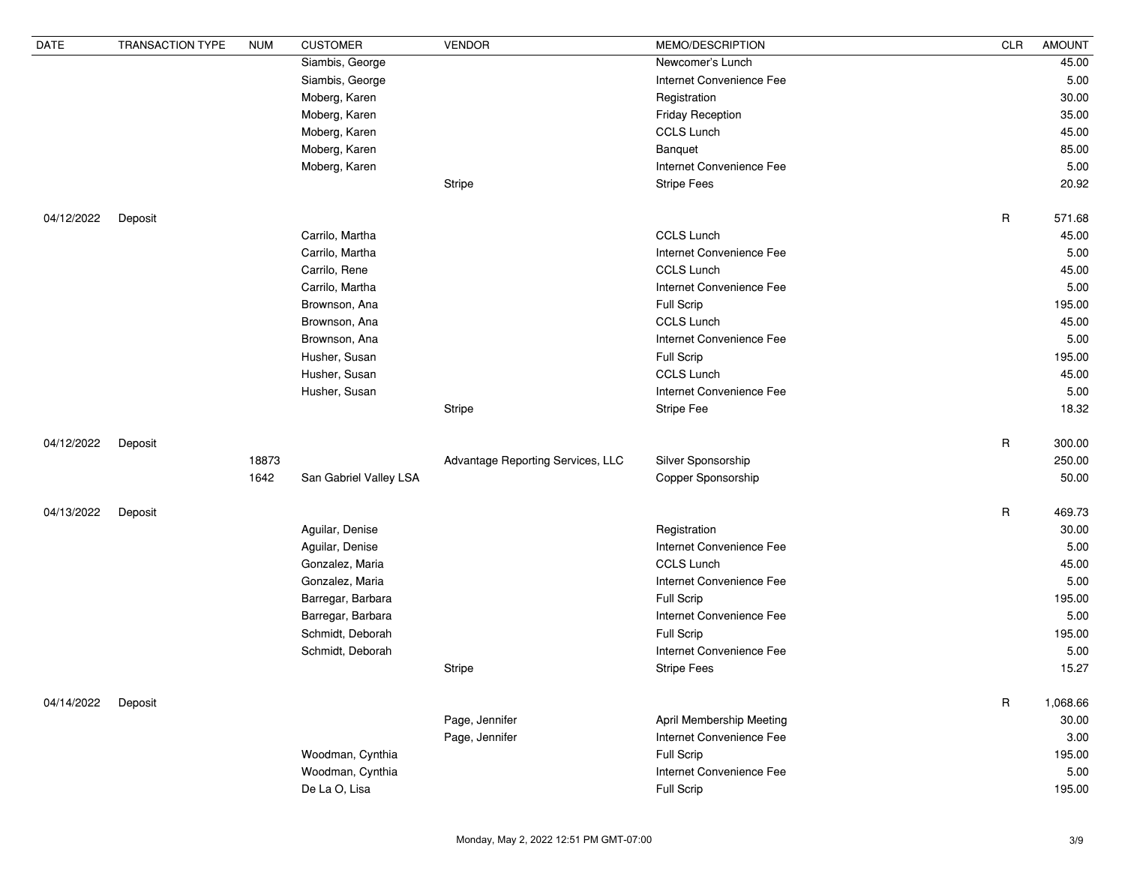| <b>DATE</b> | <b>TRANSACTION TYPE</b> | <b>NUM</b> | <b>CUSTOMER</b>        | <b>VENDOR</b>                     | MEMO/DESCRIPTION         | CLR          | <b>AMOUNT</b> |
|-------------|-------------------------|------------|------------------------|-----------------------------------|--------------------------|--------------|---------------|
|             |                         |            | Siambis, George        |                                   | Newcomer's Lunch         |              | 45.00         |
|             |                         |            | Siambis, George        |                                   | Internet Convenience Fee |              | 5.00          |
|             |                         |            | Moberg, Karen          |                                   | Registration             |              | 30.00         |
|             |                         |            | Moberg, Karen          |                                   | <b>Friday Reception</b>  |              | 35.00         |
|             |                         |            | Moberg, Karen          |                                   | <b>CCLS Lunch</b>        |              | 45.00         |
|             |                         |            | Moberg, Karen          |                                   | Banquet                  |              | 85.00         |
|             |                         |            | Moberg, Karen          |                                   | Internet Convenience Fee |              | 5.00          |
|             |                         |            |                        | <b>Stripe</b>                     | <b>Stripe Fees</b>       |              | 20.92         |
| 04/12/2022  | Deposit                 |            |                        |                                   |                          | $\mathsf{R}$ | 571.68        |
|             |                         |            | Carrilo, Martha        |                                   | <b>CCLS Lunch</b>        |              | 45.00         |
|             |                         |            | Carrilo, Martha        |                                   | Internet Convenience Fee |              | 5.00          |
|             |                         |            | Carrilo, Rene          |                                   | <b>CCLS Lunch</b>        |              | 45.00         |
|             |                         |            | Carrilo, Martha        |                                   | Internet Convenience Fee |              | 5.00          |
|             |                         |            | Brownson, Ana          |                                   | <b>Full Scrip</b>        |              | 195.00        |
|             |                         |            | Brownson, Ana          |                                   | <b>CCLS Lunch</b>        |              | 45.00         |
|             |                         |            | Brownson, Ana          |                                   | Internet Convenience Fee |              | 5.00          |
|             |                         |            | Husher, Susan          |                                   | <b>Full Scrip</b>        |              | 195.00        |
|             |                         |            | Husher, Susan          |                                   | <b>CCLS Lunch</b>        |              | 45.00         |
|             |                         |            | Husher, Susan          |                                   | Internet Convenience Fee |              | 5.00          |
|             |                         |            |                        | <b>Stripe</b>                     | <b>Stripe Fee</b>        |              | 18.32         |
| 04/12/2022  | Deposit                 |            |                        |                                   |                          | $\mathsf R$  | 300.00        |
|             |                         | 18873      |                        | Advantage Reporting Services, LLC | Silver Sponsorship       |              | 250.00        |
|             |                         | 1642       | San Gabriel Valley LSA |                                   | Copper Sponsorship       |              | 50.00         |
| 04/13/2022  | Deposit                 |            |                        |                                   |                          | $\sf R$      | 469.73        |
|             |                         |            | Aguilar, Denise        |                                   | Registration             |              | 30.00         |
|             |                         |            | Aguilar, Denise        |                                   | Internet Convenience Fee |              | 5.00          |
|             |                         |            | Gonzalez, Maria        |                                   | <b>CCLS Lunch</b>        |              | 45.00         |
|             |                         |            | Gonzalez, Maria        |                                   | Internet Convenience Fee |              | 5.00          |
|             |                         |            | Barregar, Barbara      |                                   | Full Scrip               |              | 195.00        |
|             |                         |            | Barregar, Barbara      |                                   | Internet Convenience Fee |              | 5.00          |
|             |                         |            | Schmidt, Deborah       |                                   | <b>Full Scrip</b>        |              | 195.00        |
|             |                         |            | Schmidt, Deborah       |                                   | Internet Convenience Fee |              | 5.00          |
|             |                         |            |                        | Stripe                            | <b>Stripe Fees</b>       |              | 15.27         |
| 04/14/2022  | Deposit                 |            |                        |                                   |                          | $\mathsf R$  | 1,068.66      |
|             |                         |            |                        | Page, Jennifer                    | April Membership Meeting |              | 30.00         |
|             |                         |            |                        | Page, Jennifer                    | Internet Convenience Fee |              | 3.00          |
|             |                         |            | Woodman, Cynthia       |                                   | <b>Full Scrip</b>        |              | 195.00        |
|             |                         |            | Woodman, Cynthia       |                                   | Internet Convenience Fee |              | 5.00          |
|             |                         |            | De La O, Lisa          |                                   | Full Scrip               |              | 195.00        |
|             |                         |            |                        |                                   |                          |              |               |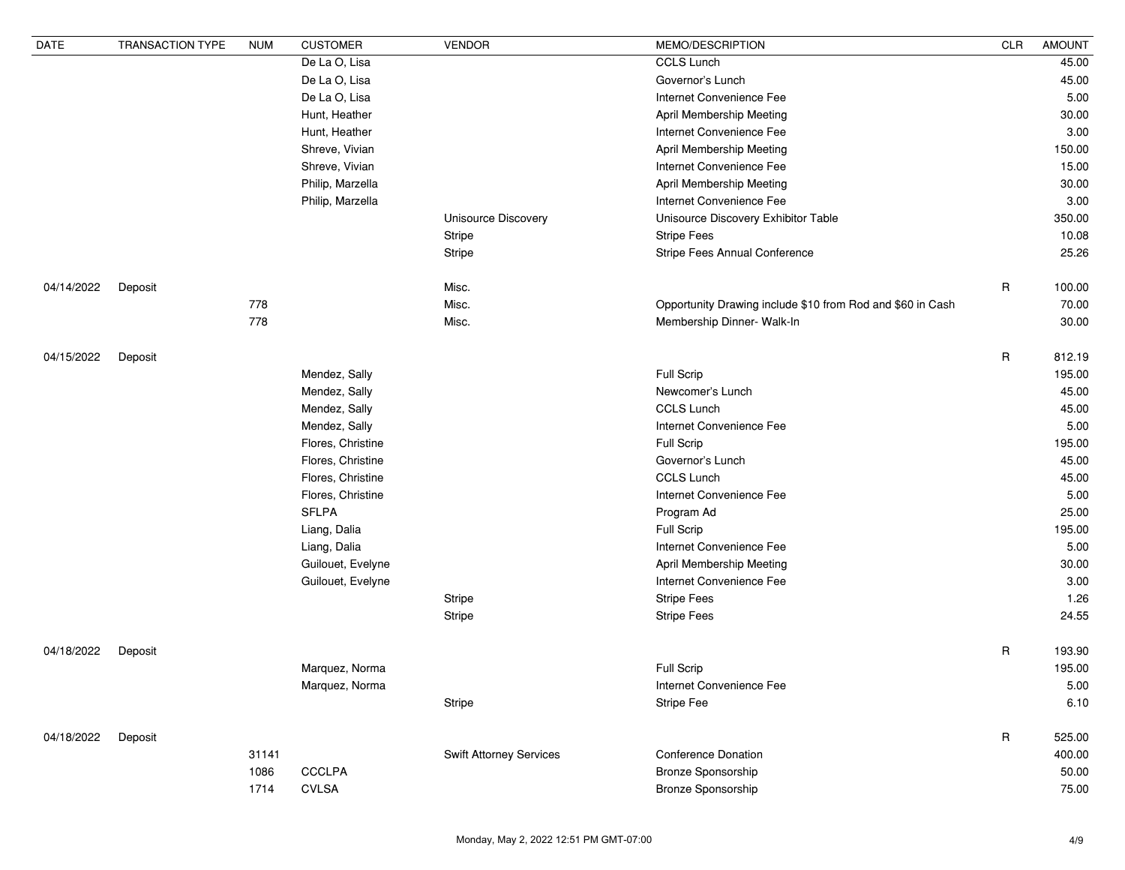| <b>CCLS Lunch</b><br>De La O, Lisa<br>45.00<br>De La O, Lisa<br>Governor's Lunch<br>45.00<br>De La O, Lisa<br>Internet Convenience Fee<br>5.00<br>Hunt, Heather<br>April Membership Meeting<br>30.00<br>3.00<br>Hunt, Heather<br>Internet Convenience Fee<br>Shreve, Vivian<br>April Membership Meeting<br>150.00<br>15.00<br>Shreve, Vivian<br>Internet Convenience Fee<br>Philip, Marzella<br>April Membership Meeting<br>30.00<br>Philip, Marzella<br>Internet Convenience Fee<br>3.00<br>Unisource Discovery<br>Unisource Discovery Exhibitor Table<br>350.00<br><b>Stripe Fees</b><br><b>Stripe</b><br>10.08<br>Stripe Fees Annual Conference<br>25.26<br>Stripe<br>$\mathsf R$<br>Misc.<br>04/14/2022<br>100.00<br>Deposit<br>778<br>Misc.<br>Opportunity Drawing include \$10 from Rod and \$60 in Cash<br>70.00<br>778<br>Misc.<br>Membership Dinner- Walk-In<br>30.00<br>$\mathsf R$<br>812.19<br>04/15/2022<br>Deposit<br>Full Scrip<br>195.00<br>Mendez, Sally<br>45.00<br>Mendez, Sally<br>Newcomer's Lunch<br><b>CCLS Lunch</b><br>Mendez, Sally<br>45.00<br>Internet Convenience Fee<br>5.00<br>Mendez, Sally<br>Full Scrip<br>Flores, Christine<br>195.00<br>Flores, Christine<br>45.00<br>Governor's Lunch<br><b>CCLS Lunch</b><br>Flores, Christine<br>45.00<br>Flores, Christine<br>Internet Convenience Fee<br>5.00<br><b>SFLPA</b><br>25.00<br>Program Ad<br><b>Full Scrip</b><br>195.00<br>Liang, Dalia<br>Internet Convenience Fee<br>Liang, Dalia<br>5.00<br>Guilouet, Evelyne<br>April Membership Meeting<br>30.00<br>Internet Convenience Fee<br>3.00<br>Guilouet, Evelyne<br><b>Stripe</b><br><b>Stripe Fees</b><br>1.26<br><b>Stripe Fees</b><br>24.55<br>Stripe<br>$\mathsf{R}$<br>193.90<br>04/18/2022<br>Deposit<br>Full Scrip<br>Marquez, Norma<br>195.00<br>Marquez, Norma<br>Internet Convenience Fee<br>5.00<br>Stripe<br><b>Stripe Fee</b><br>6.10<br>$\mathsf{R}$<br>525.00<br>04/18/2022<br>Deposit<br>31141<br><b>Swift Attorney Services</b><br><b>Conference Donation</b><br>400.00<br><b>CCCLPA</b><br>Bronze Sponsorship<br>1086<br>50.00<br>1714<br><b>CVLSA</b><br>Bronze Sponsorship<br>75.00 | <b>DATE</b> | <b>TRANSACTION TYPE</b> | <b>NUM</b> | <b>CUSTOMER</b> | <b>VENDOR</b> | MEMO/DESCRIPTION | <b>CLR</b> | <b>AMOUNT</b> |
|--------------------------------------------------------------------------------------------------------------------------------------------------------------------------------------------------------------------------------------------------------------------------------------------------------------------------------------------------------------------------------------------------------------------------------------------------------------------------------------------------------------------------------------------------------------------------------------------------------------------------------------------------------------------------------------------------------------------------------------------------------------------------------------------------------------------------------------------------------------------------------------------------------------------------------------------------------------------------------------------------------------------------------------------------------------------------------------------------------------------------------------------------------------------------------------------------------------------------------------------------------------------------------------------------------------------------------------------------------------------------------------------------------------------------------------------------------------------------------------------------------------------------------------------------------------------------------------------------------------------------------------------------------------------------------------------------------------------------------------------------------------------------------------------------------------------------------------------------------------------------------------------------------------------------------------------------------------------------------------------------------------------------------------------------------------------------------------------------------------------------------------------|-------------|-------------------------|------------|-----------------|---------------|------------------|------------|---------------|
|                                                                                                                                                                                                                                                                                                                                                                                                                                                                                                                                                                                                                                                                                                                                                                                                                                                                                                                                                                                                                                                                                                                                                                                                                                                                                                                                                                                                                                                                                                                                                                                                                                                                                                                                                                                                                                                                                                                                                                                                                                                                                                                                            |             |                         |            |                 |               |                  |            |               |
|                                                                                                                                                                                                                                                                                                                                                                                                                                                                                                                                                                                                                                                                                                                                                                                                                                                                                                                                                                                                                                                                                                                                                                                                                                                                                                                                                                                                                                                                                                                                                                                                                                                                                                                                                                                                                                                                                                                                                                                                                                                                                                                                            |             |                         |            |                 |               |                  |            |               |
|                                                                                                                                                                                                                                                                                                                                                                                                                                                                                                                                                                                                                                                                                                                                                                                                                                                                                                                                                                                                                                                                                                                                                                                                                                                                                                                                                                                                                                                                                                                                                                                                                                                                                                                                                                                                                                                                                                                                                                                                                                                                                                                                            |             |                         |            |                 |               |                  |            |               |
|                                                                                                                                                                                                                                                                                                                                                                                                                                                                                                                                                                                                                                                                                                                                                                                                                                                                                                                                                                                                                                                                                                                                                                                                                                                                                                                                                                                                                                                                                                                                                                                                                                                                                                                                                                                                                                                                                                                                                                                                                                                                                                                                            |             |                         |            |                 |               |                  |            |               |
|                                                                                                                                                                                                                                                                                                                                                                                                                                                                                                                                                                                                                                                                                                                                                                                                                                                                                                                                                                                                                                                                                                                                                                                                                                                                                                                                                                                                                                                                                                                                                                                                                                                                                                                                                                                                                                                                                                                                                                                                                                                                                                                                            |             |                         |            |                 |               |                  |            |               |
|                                                                                                                                                                                                                                                                                                                                                                                                                                                                                                                                                                                                                                                                                                                                                                                                                                                                                                                                                                                                                                                                                                                                                                                                                                                                                                                                                                                                                                                                                                                                                                                                                                                                                                                                                                                                                                                                                                                                                                                                                                                                                                                                            |             |                         |            |                 |               |                  |            |               |
|                                                                                                                                                                                                                                                                                                                                                                                                                                                                                                                                                                                                                                                                                                                                                                                                                                                                                                                                                                                                                                                                                                                                                                                                                                                                                                                                                                                                                                                                                                                                                                                                                                                                                                                                                                                                                                                                                                                                                                                                                                                                                                                                            |             |                         |            |                 |               |                  |            |               |
|                                                                                                                                                                                                                                                                                                                                                                                                                                                                                                                                                                                                                                                                                                                                                                                                                                                                                                                                                                                                                                                                                                                                                                                                                                                                                                                                                                                                                                                                                                                                                                                                                                                                                                                                                                                                                                                                                                                                                                                                                                                                                                                                            |             |                         |            |                 |               |                  |            |               |
|                                                                                                                                                                                                                                                                                                                                                                                                                                                                                                                                                                                                                                                                                                                                                                                                                                                                                                                                                                                                                                                                                                                                                                                                                                                                                                                                                                                                                                                                                                                                                                                                                                                                                                                                                                                                                                                                                                                                                                                                                                                                                                                                            |             |                         |            |                 |               |                  |            |               |
|                                                                                                                                                                                                                                                                                                                                                                                                                                                                                                                                                                                                                                                                                                                                                                                                                                                                                                                                                                                                                                                                                                                                                                                                                                                                                                                                                                                                                                                                                                                                                                                                                                                                                                                                                                                                                                                                                                                                                                                                                                                                                                                                            |             |                         |            |                 |               |                  |            |               |
|                                                                                                                                                                                                                                                                                                                                                                                                                                                                                                                                                                                                                                                                                                                                                                                                                                                                                                                                                                                                                                                                                                                                                                                                                                                                                                                                                                                                                                                                                                                                                                                                                                                                                                                                                                                                                                                                                                                                                                                                                                                                                                                                            |             |                         |            |                 |               |                  |            |               |
|                                                                                                                                                                                                                                                                                                                                                                                                                                                                                                                                                                                                                                                                                                                                                                                                                                                                                                                                                                                                                                                                                                                                                                                                                                                                                                                                                                                                                                                                                                                                                                                                                                                                                                                                                                                                                                                                                                                                                                                                                                                                                                                                            |             |                         |            |                 |               |                  |            |               |
|                                                                                                                                                                                                                                                                                                                                                                                                                                                                                                                                                                                                                                                                                                                                                                                                                                                                                                                                                                                                                                                                                                                                                                                                                                                                                                                                                                                                                                                                                                                                                                                                                                                                                                                                                                                                                                                                                                                                                                                                                                                                                                                                            |             |                         |            |                 |               |                  |            |               |
|                                                                                                                                                                                                                                                                                                                                                                                                                                                                                                                                                                                                                                                                                                                                                                                                                                                                                                                                                                                                                                                                                                                                                                                                                                                                                                                                                                                                                                                                                                                                                                                                                                                                                                                                                                                                                                                                                                                                                                                                                                                                                                                                            |             |                         |            |                 |               |                  |            |               |
|                                                                                                                                                                                                                                                                                                                                                                                                                                                                                                                                                                                                                                                                                                                                                                                                                                                                                                                                                                                                                                                                                                                                                                                                                                                                                                                                                                                                                                                                                                                                                                                                                                                                                                                                                                                                                                                                                                                                                                                                                                                                                                                                            |             |                         |            |                 |               |                  |            |               |
|                                                                                                                                                                                                                                                                                                                                                                                                                                                                                                                                                                                                                                                                                                                                                                                                                                                                                                                                                                                                                                                                                                                                                                                                                                                                                                                                                                                                                                                                                                                                                                                                                                                                                                                                                                                                                                                                                                                                                                                                                                                                                                                                            |             |                         |            |                 |               |                  |            |               |
|                                                                                                                                                                                                                                                                                                                                                                                                                                                                                                                                                                                                                                                                                                                                                                                                                                                                                                                                                                                                                                                                                                                                                                                                                                                                                                                                                                                                                                                                                                                                                                                                                                                                                                                                                                                                                                                                                                                                                                                                                                                                                                                                            |             |                         |            |                 |               |                  |            |               |
|                                                                                                                                                                                                                                                                                                                                                                                                                                                                                                                                                                                                                                                                                                                                                                                                                                                                                                                                                                                                                                                                                                                                                                                                                                                                                                                                                                                                                                                                                                                                                                                                                                                                                                                                                                                                                                                                                                                                                                                                                                                                                                                                            |             |                         |            |                 |               |                  |            |               |
|                                                                                                                                                                                                                                                                                                                                                                                                                                                                                                                                                                                                                                                                                                                                                                                                                                                                                                                                                                                                                                                                                                                                                                                                                                                                                                                                                                                                                                                                                                                                                                                                                                                                                                                                                                                                                                                                                                                                                                                                                                                                                                                                            |             |                         |            |                 |               |                  |            |               |
|                                                                                                                                                                                                                                                                                                                                                                                                                                                                                                                                                                                                                                                                                                                                                                                                                                                                                                                                                                                                                                                                                                                                                                                                                                                                                                                                                                                                                                                                                                                                                                                                                                                                                                                                                                                                                                                                                                                                                                                                                                                                                                                                            |             |                         |            |                 |               |                  |            |               |
|                                                                                                                                                                                                                                                                                                                                                                                                                                                                                                                                                                                                                                                                                                                                                                                                                                                                                                                                                                                                                                                                                                                                                                                                                                                                                                                                                                                                                                                                                                                                                                                                                                                                                                                                                                                                                                                                                                                                                                                                                                                                                                                                            |             |                         |            |                 |               |                  |            |               |
|                                                                                                                                                                                                                                                                                                                                                                                                                                                                                                                                                                                                                                                                                                                                                                                                                                                                                                                                                                                                                                                                                                                                                                                                                                                                                                                                                                                                                                                                                                                                                                                                                                                                                                                                                                                                                                                                                                                                                                                                                                                                                                                                            |             |                         |            |                 |               |                  |            |               |
|                                                                                                                                                                                                                                                                                                                                                                                                                                                                                                                                                                                                                                                                                                                                                                                                                                                                                                                                                                                                                                                                                                                                                                                                                                                                                                                                                                                                                                                                                                                                                                                                                                                                                                                                                                                                                                                                                                                                                                                                                                                                                                                                            |             |                         |            |                 |               |                  |            |               |
|                                                                                                                                                                                                                                                                                                                                                                                                                                                                                                                                                                                                                                                                                                                                                                                                                                                                                                                                                                                                                                                                                                                                                                                                                                                                                                                                                                                                                                                                                                                                                                                                                                                                                                                                                                                                                                                                                                                                                                                                                                                                                                                                            |             |                         |            |                 |               |                  |            |               |
|                                                                                                                                                                                                                                                                                                                                                                                                                                                                                                                                                                                                                                                                                                                                                                                                                                                                                                                                                                                                                                                                                                                                                                                                                                                                                                                                                                                                                                                                                                                                                                                                                                                                                                                                                                                                                                                                                                                                                                                                                                                                                                                                            |             |                         |            |                 |               |                  |            |               |
|                                                                                                                                                                                                                                                                                                                                                                                                                                                                                                                                                                                                                                                                                                                                                                                                                                                                                                                                                                                                                                                                                                                                                                                                                                                                                                                                                                                                                                                                                                                                                                                                                                                                                                                                                                                                                                                                                                                                                                                                                                                                                                                                            |             |                         |            |                 |               |                  |            |               |
|                                                                                                                                                                                                                                                                                                                                                                                                                                                                                                                                                                                                                                                                                                                                                                                                                                                                                                                                                                                                                                                                                                                                                                                                                                                                                                                                                                                                                                                                                                                                                                                                                                                                                                                                                                                                                                                                                                                                                                                                                                                                                                                                            |             |                         |            |                 |               |                  |            |               |
|                                                                                                                                                                                                                                                                                                                                                                                                                                                                                                                                                                                                                                                                                                                                                                                                                                                                                                                                                                                                                                                                                                                                                                                                                                                                                                                                                                                                                                                                                                                                                                                                                                                                                                                                                                                                                                                                                                                                                                                                                                                                                                                                            |             |                         |            |                 |               |                  |            |               |
|                                                                                                                                                                                                                                                                                                                                                                                                                                                                                                                                                                                                                                                                                                                                                                                                                                                                                                                                                                                                                                                                                                                                                                                                                                                                                                                                                                                                                                                                                                                                                                                                                                                                                                                                                                                                                                                                                                                                                                                                                                                                                                                                            |             |                         |            |                 |               |                  |            |               |
|                                                                                                                                                                                                                                                                                                                                                                                                                                                                                                                                                                                                                                                                                                                                                                                                                                                                                                                                                                                                                                                                                                                                                                                                                                                                                                                                                                                                                                                                                                                                                                                                                                                                                                                                                                                                                                                                                                                                                                                                                                                                                                                                            |             |                         |            |                 |               |                  |            |               |
|                                                                                                                                                                                                                                                                                                                                                                                                                                                                                                                                                                                                                                                                                                                                                                                                                                                                                                                                                                                                                                                                                                                                                                                                                                                                                                                                                                                                                                                                                                                                                                                                                                                                                                                                                                                                                                                                                                                                                                                                                                                                                                                                            |             |                         |            |                 |               |                  |            |               |
|                                                                                                                                                                                                                                                                                                                                                                                                                                                                                                                                                                                                                                                                                                                                                                                                                                                                                                                                                                                                                                                                                                                                                                                                                                                                                                                                                                                                                                                                                                                                                                                                                                                                                                                                                                                                                                                                                                                                                                                                                                                                                                                                            |             |                         |            |                 |               |                  |            |               |
|                                                                                                                                                                                                                                                                                                                                                                                                                                                                                                                                                                                                                                                                                                                                                                                                                                                                                                                                                                                                                                                                                                                                                                                                                                                                                                                                                                                                                                                                                                                                                                                                                                                                                                                                                                                                                                                                                                                                                                                                                                                                                                                                            |             |                         |            |                 |               |                  |            |               |
|                                                                                                                                                                                                                                                                                                                                                                                                                                                                                                                                                                                                                                                                                                                                                                                                                                                                                                                                                                                                                                                                                                                                                                                                                                                                                                                                                                                                                                                                                                                                                                                                                                                                                                                                                                                                                                                                                                                                                                                                                                                                                                                                            |             |                         |            |                 |               |                  |            |               |
|                                                                                                                                                                                                                                                                                                                                                                                                                                                                                                                                                                                                                                                                                                                                                                                                                                                                                                                                                                                                                                                                                                                                                                                                                                                                                                                                                                                                                                                                                                                                                                                                                                                                                                                                                                                                                                                                                                                                                                                                                                                                                                                                            |             |                         |            |                 |               |                  |            |               |
|                                                                                                                                                                                                                                                                                                                                                                                                                                                                                                                                                                                                                                                                                                                                                                                                                                                                                                                                                                                                                                                                                                                                                                                                                                                                                                                                                                                                                                                                                                                                                                                                                                                                                                                                                                                                                                                                                                                                                                                                                                                                                                                                            |             |                         |            |                 |               |                  |            |               |
|                                                                                                                                                                                                                                                                                                                                                                                                                                                                                                                                                                                                                                                                                                                                                                                                                                                                                                                                                                                                                                                                                                                                                                                                                                                                                                                                                                                                                                                                                                                                                                                                                                                                                                                                                                                                                                                                                                                                                                                                                                                                                                                                            |             |                         |            |                 |               |                  |            |               |
|                                                                                                                                                                                                                                                                                                                                                                                                                                                                                                                                                                                                                                                                                                                                                                                                                                                                                                                                                                                                                                                                                                                                                                                                                                                                                                                                                                                                                                                                                                                                                                                                                                                                                                                                                                                                                                                                                                                                                                                                                                                                                                                                            |             |                         |            |                 |               |                  |            |               |
|                                                                                                                                                                                                                                                                                                                                                                                                                                                                                                                                                                                                                                                                                                                                                                                                                                                                                                                                                                                                                                                                                                                                                                                                                                                                                                                                                                                                                                                                                                                                                                                                                                                                                                                                                                                                                                                                                                                                                                                                                                                                                                                                            |             |                         |            |                 |               |                  |            |               |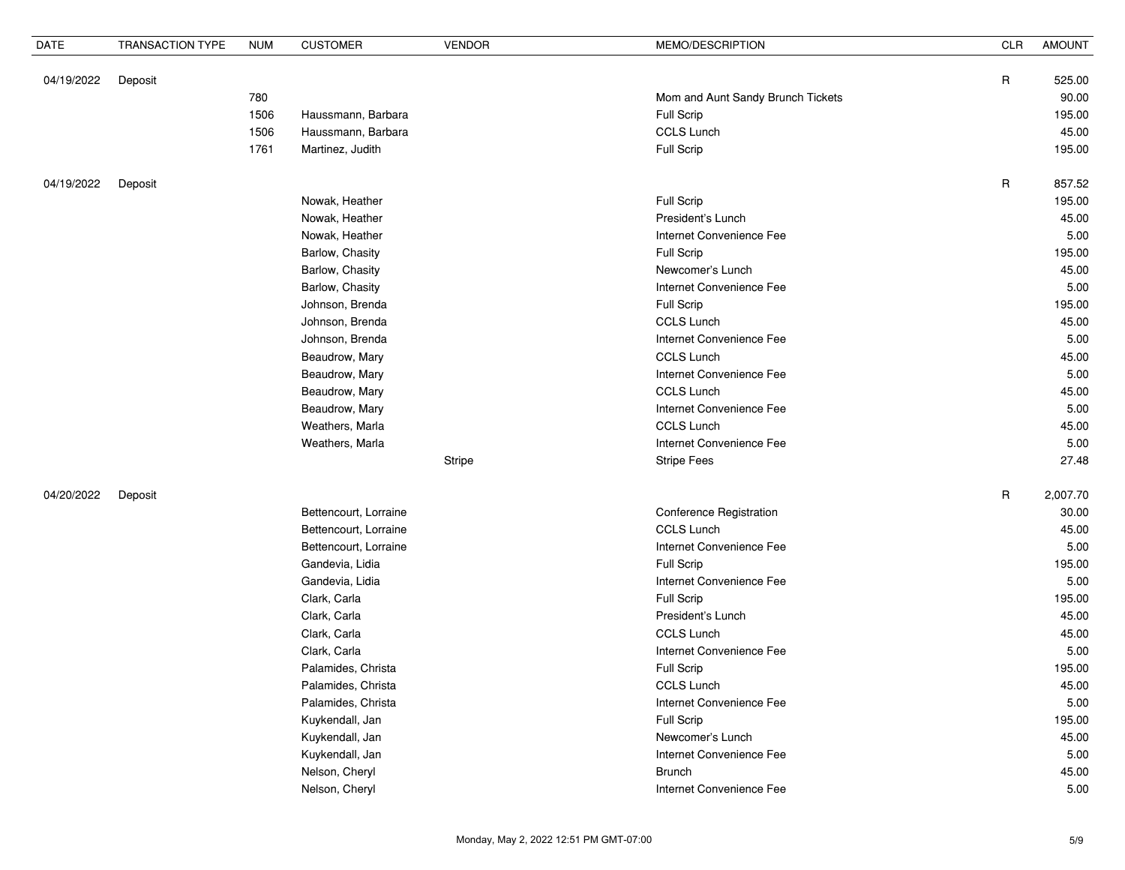| $\mathsf{R}$<br>525.00<br>04/19/2022<br>Deposit<br>Mom and Aunt Sandy Brunch Tickets<br>90.00<br>780<br>Full Scrip<br>1506<br>Haussmann, Barbara<br>195.00<br><b>CCLS Lunch</b><br>1506<br>45.00<br>Haussmann, Barbara<br>Full Scrip<br>1761<br>Martinez, Judith<br>195.00<br>$\mathsf R$<br>857.52<br>04/19/2022<br>Deposit<br>Nowak, Heather<br>Full Scrip<br>195.00<br>Nowak, Heather<br>President's Lunch<br>45.00<br>Nowak, Heather<br>Internet Convenience Fee<br>5.00<br>Barlow, Chasity<br>Full Scrip<br>195.00<br>45.00<br>Barlow, Chasity<br>Newcomer's Lunch<br>Barlow, Chasity<br>Internet Convenience Fee<br>5.00<br>Johnson, Brenda<br>Full Scrip<br>195.00<br><b>CCLS Lunch</b><br>Johnson, Brenda<br>45.00<br>Johnson, Brenda<br>Internet Convenience Fee<br>5.00<br><b>CCLS Lunch</b><br>45.00<br>Beaudrow, Mary<br>Internet Convenience Fee<br>Beaudrow, Mary<br>5.00<br><b>CCLS Lunch</b><br>45.00<br>Beaudrow, Mary<br>Beaudrow, Mary<br>Internet Convenience Fee<br>5.00<br><b>CCLS Lunch</b><br>Weathers, Marla<br>45.00<br>Internet Convenience Fee<br>5.00<br>Weathers, Marla<br><b>Stripe Fees</b><br>27.48<br>Stripe<br>$\mathsf R$<br>2,007.70<br>04/20/2022<br>Deposit<br>Conference Registration<br>Bettencourt, Lorraine<br>30.00<br><b>CCLS Lunch</b><br>45.00<br>Bettencourt, Lorraine<br>Bettencourt, Lorraine<br>Internet Convenience Fee<br>5.00<br>Gandevia, Lidia<br>Full Scrip<br>195.00<br>Gandevia, Lidia<br>Internet Convenience Fee<br>5.00<br>Clark, Carla<br>Full Scrip<br>195.00 | <b>DATE</b> | <b>TRANSACTION TYPE</b> | <b>NUM</b> | <b>CUSTOMER</b> | <b>VENDOR</b> | MEMO/DESCRIPTION  | <b>CLR</b> | <b>AMOUNT</b> |
|-------------------------------------------------------------------------------------------------------------------------------------------------------------------------------------------------------------------------------------------------------------------------------------------------------------------------------------------------------------------------------------------------------------------------------------------------------------------------------------------------------------------------------------------------------------------------------------------------------------------------------------------------------------------------------------------------------------------------------------------------------------------------------------------------------------------------------------------------------------------------------------------------------------------------------------------------------------------------------------------------------------------------------------------------------------------------------------------------------------------------------------------------------------------------------------------------------------------------------------------------------------------------------------------------------------------------------------------------------------------------------------------------------------------------------------------------------------------------------------------------------------------------------|-------------|-------------------------|------------|-----------------|---------------|-------------------|------------|---------------|
|                                                                                                                                                                                                                                                                                                                                                                                                                                                                                                                                                                                                                                                                                                                                                                                                                                                                                                                                                                                                                                                                                                                                                                                                                                                                                                                                                                                                                                                                                                                               |             |                         |            |                 |               |                   |            |               |
|                                                                                                                                                                                                                                                                                                                                                                                                                                                                                                                                                                                                                                                                                                                                                                                                                                                                                                                                                                                                                                                                                                                                                                                                                                                                                                                                                                                                                                                                                                                               |             |                         |            |                 |               |                   |            |               |
|                                                                                                                                                                                                                                                                                                                                                                                                                                                                                                                                                                                                                                                                                                                                                                                                                                                                                                                                                                                                                                                                                                                                                                                                                                                                                                                                                                                                                                                                                                                               |             |                         |            |                 |               |                   |            |               |
|                                                                                                                                                                                                                                                                                                                                                                                                                                                                                                                                                                                                                                                                                                                                                                                                                                                                                                                                                                                                                                                                                                                                                                                                                                                                                                                                                                                                                                                                                                                               |             |                         |            |                 |               |                   |            |               |
|                                                                                                                                                                                                                                                                                                                                                                                                                                                                                                                                                                                                                                                                                                                                                                                                                                                                                                                                                                                                                                                                                                                                                                                                                                                                                                                                                                                                                                                                                                                               |             |                         |            |                 |               |                   |            |               |
|                                                                                                                                                                                                                                                                                                                                                                                                                                                                                                                                                                                                                                                                                                                                                                                                                                                                                                                                                                                                                                                                                                                                                                                                                                                                                                                                                                                                                                                                                                                               |             |                         |            |                 |               |                   |            |               |
|                                                                                                                                                                                                                                                                                                                                                                                                                                                                                                                                                                                                                                                                                                                                                                                                                                                                                                                                                                                                                                                                                                                                                                                                                                                                                                                                                                                                                                                                                                                               |             |                         |            |                 |               |                   |            |               |
|                                                                                                                                                                                                                                                                                                                                                                                                                                                                                                                                                                                                                                                                                                                                                                                                                                                                                                                                                                                                                                                                                                                                                                                                                                                                                                                                                                                                                                                                                                                               |             |                         |            |                 |               |                   |            |               |
|                                                                                                                                                                                                                                                                                                                                                                                                                                                                                                                                                                                                                                                                                                                                                                                                                                                                                                                                                                                                                                                                                                                                                                                                                                                                                                                                                                                                                                                                                                                               |             |                         |            |                 |               |                   |            |               |
|                                                                                                                                                                                                                                                                                                                                                                                                                                                                                                                                                                                                                                                                                                                                                                                                                                                                                                                                                                                                                                                                                                                                                                                                                                                                                                                                                                                                                                                                                                                               |             |                         |            |                 |               |                   |            |               |
|                                                                                                                                                                                                                                                                                                                                                                                                                                                                                                                                                                                                                                                                                                                                                                                                                                                                                                                                                                                                                                                                                                                                                                                                                                                                                                                                                                                                                                                                                                                               |             |                         |            |                 |               |                   |            |               |
|                                                                                                                                                                                                                                                                                                                                                                                                                                                                                                                                                                                                                                                                                                                                                                                                                                                                                                                                                                                                                                                                                                                                                                                                                                                                                                                                                                                                                                                                                                                               |             |                         |            |                 |               |                   |            |               |
|                                                                                                                                                                                                                                                                                                                                                                                                                                                                                                                                                                                                                                                                                                                                                                                                                                                                                                                                                                                                                                                                                                                                                                                                                                                                                                                                                                                                                                                                                                                               |             |                         |            |                 |               |                   |            |               |
|                                                                                                                                                                                                                                                                                                                                                                                                                                                                                                                                                                                                                                                                                                                                                                                                                                                                                                                                                                                                                                                                                                                                                                                                                                                                                                                                                                                                                                                                                                                               |             |                         |            |                 |               |                   |            |               |
|                                                                                                                                                                                                                                                                                                                                                                                                                                                                                                                                                                                                                                                                                                                                                                                                                                                                                                                                                                                                                                                                                                                                                                                                                                                                                                                                                                                                                                                                                                                               |             |                         |            |                 |               |                   |            |               |
|                                                                                                                                                                                                                                                                                                                                                                                                                                                                                                                                                                                                                                                                                                                                                                                                                                                                                                                                                                                                                                                                                                                                                                                                                                                                                                                                                                                                                                                                                                                               |             |                         |            |                 |               |                   |            |               |
|                                                                                                                                                                                                                                                                                                                                                                                                                                                                                                                                                                                                                                                                                                                                                                                                                                                                                                                                                                                                                                                                                                                                                                                                                                                                                                                                                                                                                                                                                                                               |             |                         |            |                 |               |                   |            |               |
|                                                                                                                                                                                                                                                                                                                                                                                                                                                                                                                                                                                                                                                                                                                                                                                                                                                                                                                                                                                                                                                                                                                                                                                                                                                                                                                                                                                                                                                                                                                               |             |                         |            |                 |               |                   |            |               |
|                                                                                                                                                                                                                                                                                                                                                                                                                                                                                                                                                                                                                                                                                                                                                                                                                                                                                                                                                                                                                                                                                                                                                                                                                                                                                                                                                                                                                                                                                                                               |             |                         |            |                 |               |                   |            |               |
|                                                                                                                                                                                                                                                                                                                                                                                                                                                                                                                                                                                                                                                                                                                                                                                                                                                                                                                                                                                                                                                                                                                                                                                                                                                                                                                                                                                                                                                                                                                               |             |                         |            |                 |               |                   |            |               |
|                                                                                                                                                                                                                                                                                                                                                                                                                                                                                                                                                                                                                                                                                                                                                                                                                                                                                                                                                                                                                                                                                                                                                                                                                                                                                                                                                                                                                                                                                                                               |             |                         |            |                 |               |                   |            |               |
|                                                                                                                                                                                                                                                                                                                                                                                                                                                                                                                                                                                                                                                                                                                                                                                                                                                                                                                                                                                                                                                                                                                                                                                                                                                                                                                                                                                                                                                                                                                               |             |                         |            |                 |               |                   |            |               |
|                                                                                                                                                                                                                                                                                                                                                                                                                                                                                                                                                                                                                                                                                                                                                                                                                                                                                                                                                                                                                                                                                                                                                                                                                                                                                                                                                                                                                                                                                                                               |             |                         |            |                 |               |                   |            |               |
|                                                                                                                                                                                                                                                                                                                                                                                                                                                                                                                                                                                                                                                                                                                                                                                                                                                                                                                                                                                                                                                                                                                                                                                                                                                                                                                                                                                                                                                                                                                               |             |                         |            |                 |               |                   |            |               |
|                                                                                                                                                                                                                                                                                                                                                                                                                                                                                                                                                                                                                                                                                                                                                                                                                                                                                                                                                                                                                                                                                                                                                                                                                                                                                                                                                                                                                                                                                                                               |             |                         |            |                 |               |                   |            |               |
|                                                                                                                                                                                                                                                                                                                                                                                                                                                                                                                                                                                                                                                                                                                                                                                                                                                                                                                                                                                                                                                                                                                                                                                                                                                                                                                                                                                                                                                                                                                               |             |                         |            |                 |               |                   |            |               |
|                                                                                                                                                                                                                                                                                                                                                                                                                                                                                                                                                                                                                                                                                                                                                                                                                                                                                                                                                                                                                                                                                                                                                                                                                                                                                                                                                                                                                                                                                                                               |             |                         |            |                 |               |                   |            |               |
|                                                                                                                                                                                                                                                                                                                                                                                                                                                                                                                                                                                                                                                                                                                                                                                                                                                                                                                                                                                                                                                                                                                                                                                                                                                                                                                                                                                                                                                                                                                               |             |                         |            |                 |               |                   |            |               |
|                                                                                                                                                                                                                                                                                                                                                                                                                                                                                                                                                                                                                                                                                                                                                                                                                                                                                                                                                                                                                                                                                                                                                                                                                                                                                                                                                                                                                                                                                                                               |             |                         |            |                 |               |                   |            |               |
|                                                                                                                                                                                                                                                                                                                                                                                                                                                                                                                                                                                                                                                                                                                                                                                                                                                                                                                                                                                                                                                                                                                                                                                                                                                                                                                                                                                                                                                                                                                               |             |                         |            |                 |               |                   |            |               |
|                                                                                                                                                                                                                                                                                                                                                                                                                                                                                                                                                                                                                                                                                                                                                                                                                                                                                                                                                                                                                                                                                                                                                                                                                                                                                                                                                                                                                                                                                                                               |             |                         |            | Clark, Carla    |               | President's Lunch |            | 45.00         |
| Clark, Carla<br>CCLS Lunch<br>45.00                                                                                                                                                                                                                                                                                                                                                                                                                                                                                                                                                                                                                                                                                                                                                                                                                                                                                                                                                                                                                                                                                                                                                                                                                                                                                                                                                                                                                                                                                           |             |                         |            |                 |               |                   |            |               |
| Clark, Carla<br>Internet Convenience Fee<br>5.00                                                                                                                                                                                                                                                                                                                                                                                                                                                                                                                                                                                                                                                                                                                                                                                                                                                                                                                                                                                                                                                                                                                                                                                                                                                                                                                                                                                                                                                                              |             |                         |            |                 |               |                   |            |               |
| Palamides, Christa<br><b>Full Scrip</b><br>195.00                                                                                                                                                                                                                                                                                                                                                                                                                                                                                                                                                                                                                                                                                                                                                                                                                                                                                                                                                                                                                                                                                                                                                                                                                                                                                                                                                                                                                                                                             |             |                         |            |                 |               |                   |            |               |
| CCLS Lunch<br>Palamides, Christa<br>45.00                                                                                                                                                                                                                                                                                                                                                                                                                                                                                                                                                                                                                                                                                                                                                                                                                                                                                                                                                                                                                                                                                                                                                                                                                                                                                                                                                                                                                                                                                     |             |                         |            |                 |               |                   |            |               |
| Internet Convenience Fee<br>5.00<br>Palamides, Christa                                                                                                                                                                                                                                                                                                                                                                                                                                                                                                                                                                                                                                                                                                                                                                                                                                                                                                                                                                                                                                                                                                                                                                                                                                                                                                                                                                                                                                                                        |             |                         |            |                 |               |                   |            |               |
| Kuykendall, Jan<br><b>Full Scrip</b><br>195.00                                                                                                                                                                                                                                                                                                                                                                                                                                                                                                                                                                                                                                                                                                                                                                                                                                                                                                                                                                                                                                                                                                                                                                                                                                                                                                                                                                                                                                                                                |             |                         |            |                 |               |                   |            |               |
| Newcomer's Lunch<br>Kuykendall, Jan<br>45.00                                                                                                                                                                                                                                                                                                                                                                                                                                                                                                                                                                                                                                                                                                                                                                                                                                                                                                                                                                                                                                                                                                                                                                                                                                                                                                                                                                                                                                                                                  |             |                         |            |                 |               |                   |            |               |
| Kuykendall, Jan<br>Internet Convenience Fee<br>5.00                                                                                                                                                                                                                                                                                                                                                                                                                                                                                                                                                                                                                                                                                                                                                                                                                                                                                                                                                                                                                                                                                                                                                                                                                                                                                                                                                                                                                                                                           |             |                         |            |                 |               |                   |            |               |
| Nelson, Cheryl<br>45.00<br><b>Brunch</b>                                                                                                                                                                                                                                                                                                                                                                                                                                                                                                                                                                                                                                                                                                                                                                                                                                                                                                                                                                                                                                                                                                                                                                                                                                                                                                                                                                                                                                                                                      |             |                         |            |                 |               |                   |            |               |
| Nelson, Cheryl<br>Internet Convenience Fee<br>5.00                                                                                                                                                                                                                                                                                                                                                                                                                                                                                                                                                                                                                                                                                                                                                                                                                                                                                                                                                                                                                                                                                                                                                                                                                                                                                                                                                                                                                                                                            |             |                         |            |                 |               |                   |            |               |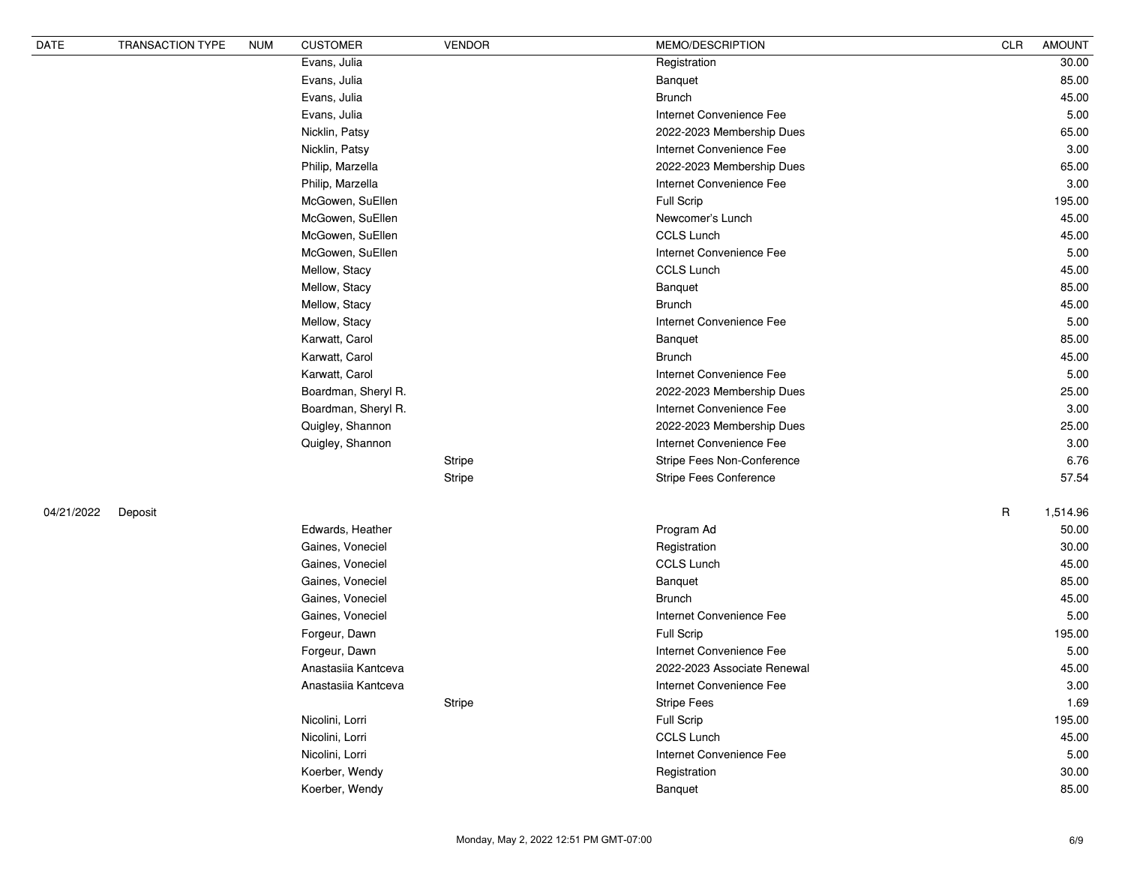| DATE       | TRANSACTION TYPE | <b>NUM</b> | <b>CUSTOMER</b>     | <b>VENDOR</b> | MEMO/DESCRIPTION              | CLR         | <b>AMOUNT</b> |
|------------|------------------|------------|---------------------|---------------|-------------------------------|-------------|---------------|
|            |                  |            | Evans, Julia        |               | Registration                  |             | 30.00         |
|            |                  |            | Evans, Julia        |               | Banquet                       |             | 85.00         |
|            |                  |            | Evans, Julia        |               | <b>Brunch</b>                 |             | 45.00         |
|            |                  |            | Evans, Julia        |               | Internet Convenience Fee      |             | 5.00          |
|            |                  |            | Nicklin, Patsy      |               | 2022-2023 Membership Dues     |             | 65.00         |
|            |                  |            | Nicklin, Patsy      |               | Internet Convenience Fee      |             | 3.00          |
|            |                  |            | Philip, Marzella    |               | 2022-2023 Membership Dues     |             | 65.00         |
|            |                  |            | Philip, Marzella    |               | Internet Convenience Fee      |             | 3.00          |
|            |                  |            | McGowen, SuEllen    |               | Full Scrip                    |             | 195.00        |
|            |                  |            | McGowen, SuEllen    |               | Newcomer's Lunch              |             | 45.00         |
|            |                  |            | McGowen, SuEllen    |               | CCLS Lunch                    |             | 45.00         |
|            |                  |            | McGowen, SuEllen    |               | Internet Convenience Fee      |             | 5.00          |
|            |                  |            | Mellow, Stacy       |               | <b>CCLS Lunch</b>             |             | 45.00         |
|            |                  |            | Mellow, Stacy       |               | Banquet                       |             | 85.00         |
|            |                  |            | Mellow, Stacy       |               | <b>Brunch</b>                 |             | 45.00         |
|            |                  |            | Mellow, Stacy       |               | Internet Convenience Fee      |             | 5.00          |
|            |                  |            | Karwatt, Carol      |               | Banquet                       |             | 85.00         |
|            |                  |            | Karwatt, Carol      |               | <b>Brunch</b>                 |             | 45.00         |
|            |                  |            | Karwatt, Carol      |               | Internet Convenience Fee      |             | 5.00          |
|            |                  |            | Boardman, Sheryl R. |               | 2022-2023 Membership Dues     |             | 25.00         |
|            |                  |            | Boardman, Sheryl R. |               | Internet Convenience Fee      |             | 3.00          |
|            |                  |            | Quigley, Shannon    |               | 2022-2023 Membership Dues     |             | 25.00         |
|            |                  |            | Quigley, Shannon    |               | Internet Convenience Fee      |             | 3.00          |
|            |                  |            |                     | Stripe        | Stripe Fees Non-Conference    |             | 6.76          |
|            |                  |            |                     | <b>Stripe</b> | <b>Stripe Fees Conference</b> |             | 57.54         |
| 04/21/2022 | Deposit          |            |                     |               |                               | $\mathsf R$ | 1,514.96      |
|            |                  |            | Edwards, Heather    |               | Program Ad                    |             | 50.00         |
|            |                  |            | Gaines, Voneciel    |               | Registration                  |             | 30.00         |
|            |                  |            | Gaines, Voneciel    |               | <b>CCLS Lunch</b>             |             | 45.00         |
|            |                  |            | Gaines, Voneciel    |               | Banquet                       |             | 85.00         |
|            |                  |            | Gaines, Voneciel    |               | <b>Brunch</b>                 |             | 45.00         |
|            |                  |            | Gaines, Voneciel    |               | Internet Convenience Fee      |             | 5.00          |
|            |                  |            | Forgeur, Dawn       |               | Full Scrip                    |             | 195.00        |
|            |                  |            | Forgeur, Dawn       |               | Internet Convenience Fee      |             | 5.00          |
|            |                  |            | Anastasiia Kantceva |               | 2022-2023 Associate Renewal   |             | 45.00         |
|            |                  |            | Anastasiia Kantceva |               | Internet Convenience Fee      |             | 3.00          |
|            |                  |            |                     | Stripe        | <b>Stripe Fees</b>            |             | 1.69          |
|            |                  |            | Nicolini, Lorri     |               | Full Scrip                    |             | 195.00        |
|            |                  |            | Nicolini, Lorri     |               | <b>CCLS Lunch</b>             |             | 45.00         |
|            |                  |            | Nicolini, Lorri     |               | Internet Convenience Fee      |             | 5.00          |
|            |                  |            | Koerber, Wendy      |               | Registration                  |             | 30.00         |
|            |                  |            | Koerber, Wendy      |               | Banquet                       |             | 85.00         |
|            |                  |            |                     |               |                               |             |               |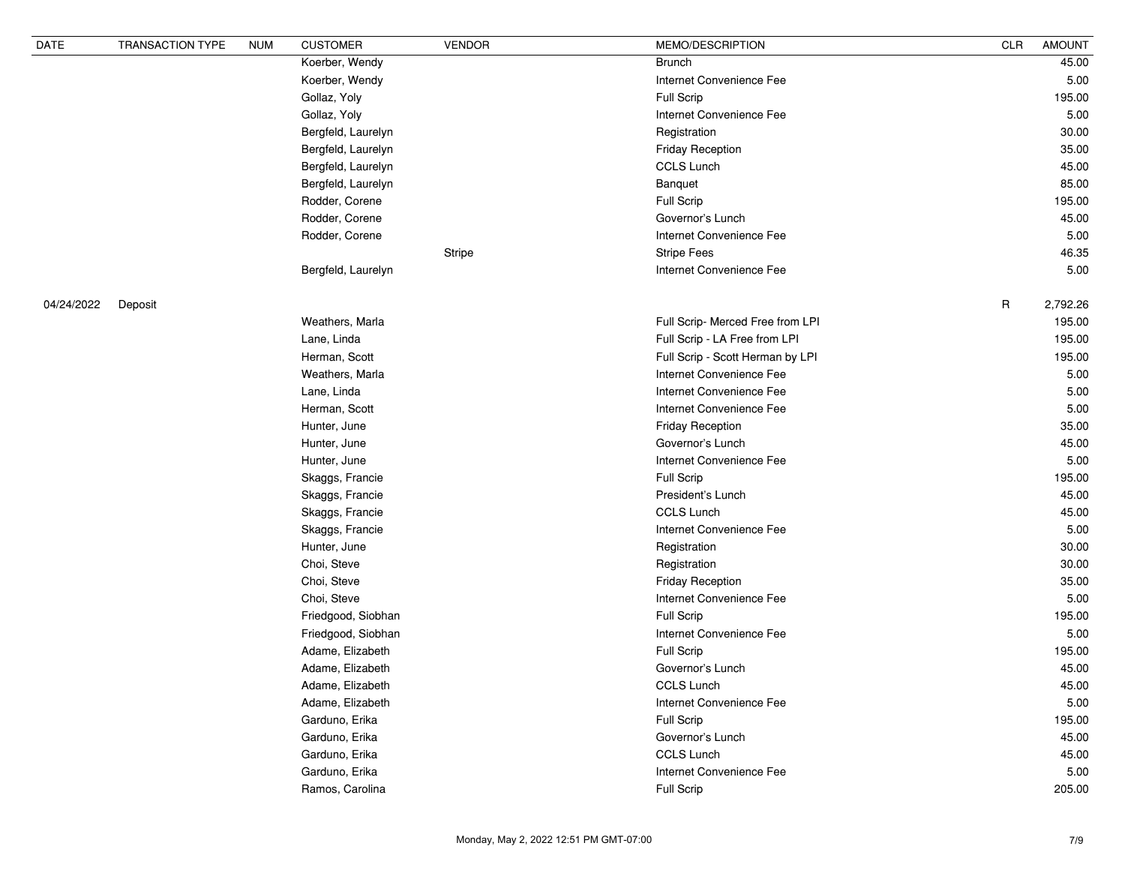| DATE       | <b>TRANSACTION TYPE</b> | <b>NUM</b> | <b>CUSTOMER</b>    | <b>VENDOR</b> | MEMO/DESCRIPTION                 | <b>CLR</b>  | <b>AMOUNT</b> |
|------------|-------------------------|------------|--------------------|---------------|----------------------------------|-------------|---------------|
|            |                         |            | Koerber, Wendy     |               | <b>Brunch</b>                    |             | 45.00         |
|            |                         |            | Koerber, Wendy     |               | Internet Convenience Fee         |             | 5.00          |
|            |                         |            | Gollaz, Yoly       |               | <b>Full Scrip</b>                |             | 195.00        |
|            |                         |            | Gollaz, Yoly       |               | Internet Convenience Fee         |             | 5.00          |
|            |                         |            | Bergfeld, Laurelyn |               | Registration                     |             | 30.00         |
|            |                         |            | Bergfeld, Laurelyn |               | <b>Friday Reception</b>          |             | 35.00         |
|            |                         |            | Bergfeld, Laurelyn |               | <b>CCLS Lunch</b>                |             | 45.00         |
|            |                         |            | Bergfeld, Laurelyn |               | Banquet                          |             | 85.00         |
|            |                         |            | Rodder, Corene     |               | <b>Full Scrip</b>                |             | 195.00        |
|            |                         |            | Rodder, Corene     |               | Governor's Lunch                 |             | 45.00         |
|            |                         |            | Rodder, Corene     |               | Internet Convenience Fee         |             | 5.00          |
|            |                         |            |                    | <b>Stripe</b> | <b>Stripe Fees</b>               |             | 46.35         |
|            |                         |            | Bergfeld, Laurelyn |               | Internet Convenience Fee         |             | 5.00          |
| 04/24/2022 | Deposit                 |            |                    |               |                                  | $\mathsf R$ | 2,792.26      |
|            |                         |            | Weathers, Marla    |               | Full Scrip- Merced Free from LPI |             | 195.00        |
|            |                         |            | Lane, Linda        |               | Full Scrip - LA Free from LPI    |             | 195.00        |
|            |                         |            | Herman, Scott      |               | Full Scrip - Scott Herman by LPI |             | 195.00        |
|            |                         |            | Weathers, Marla    |               | Internet Convenience Fee         |             | 5.00          |
|            |                         |            | Lane, Linda        |               | Internet Convenience Fee         |             | 5.00          |
|            |                         |            | Herman, Scott      |               | Internet Convenience Fee         |             | 5.00          |
|            |                         |            | Hunter, June       |               | <b>Friday Reception</b>          |             | 35.00         |
|            |                         |            | Hunter, June       |               | Governor's Lunch                 |             | 45.00         |
|            |                         |            | Hunter, June       |               | Internet Convenience Fee         |             | 5.00          |
|            |                         |            | Skaggs, Francie    |               | <b>Full Scrip</b>                |             | 195.00        |
|            |                         |            | Skaggs, Francie    |               | President's Lunch                |             | 45.00         |
|            |                         |            | Skaggs, Francie    |               | <b>CCLS Lunch</b>                |             | 45.00         |
|            |                         |            | Skaggs, Francie    |               | Internet Convenience Fee         |             | 5.00          |
|            |                         |            | Hunter, June       |               | Registration                     |             | 30.00         |
|            |                         |            | Choi, Steve        |               | Registration                     |             | 30.00         |
|            |                         |            | Choi, Steve        |               | <b>Friday Reception</b>          |             | 35.00         |
|            |                         |            | Choi, Steve        |               | Internet Convenience Fee         |             | 5.00          |
|            |                         |            | Friedgood, Siobhan |               | Full Scrip                       |             | 195.00        |
|            |                         |            | Friedgood, Siobhan |               | Internet Convenience Fee         |             | 5.00          |
|            |                         |            | Adame, Elizabeth   |               | Full Scrip                       |             | 195.00        |
|            |                         |            | Adame, Elizabeth   |               | Governor's Lunch                 |             | 45.00         |
|            |                         |            | Adame, Elizabeth   |               | <b>CCLS Lunch</b>                |             | 45.00         |
|            |                         |            | Adame, Elizabeth   |               | Internet Convenience Fee         |             | 5.00          |
|            |                         |            | Garduno, Erika     |               | Full Scrip                       |             | 195.00        |
|            |                         |            | Garduno, Erika     |               | Governor's Lunch                 |             | 45.00         |
|            |                         |            | Garduno, Erika     |               | <b>CCLS Lunch</b>                |             | 45.00         |
|            |                         |            | Garduno, Erika     |               | Internet Convenience Fee         |             | 5.00          |
|            |                         |            | Ramos, Carolina    |               | Full Scrip                       |             | 205.00        |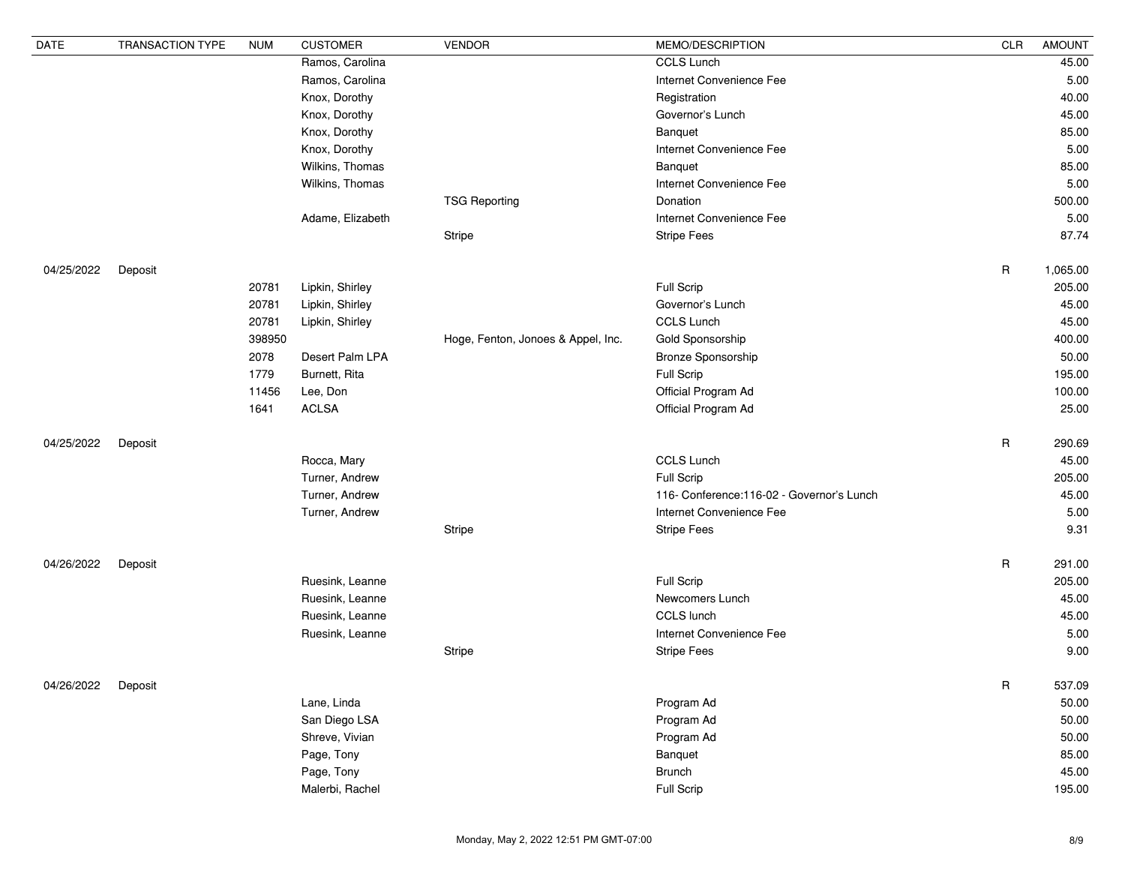| <b>DATE</b> | <b>TRANSACTION TYPE</b> | <b>NUM</b> | <b>CUSTOMER</b>  | <b>VENDOR</b>                      | MEMO/DESCRIPTION                           | <b>CLR</b>  | <b>AMOUNT</b> |
|-------------|-------------------------|------------|------------------|------------------------------------|--------------------------------------------|-------------|---------------|
|             |                         |            | Ramos, Carolina  |                                    | <b>CCLS Lunch</b>                          |             | 45.00         |
|             |                         |            | Ramos, Carolina  |                                    | Internet Convenience Fee                   |             | 5.00          |
|             |                         |            | Knox, Dorothy    |                                    | Registration                               |             | 40.00         |
|             |                         |            | Knox, Dorothy    |                                    | Governor's Lunch                           |             | 45.00         |
|             |                         |            | Knox, Dorothy    |                                    | Banquet                                    |             | 85.00         |
|             |                         |            | Knox, Dorothy    |                                    | Internet Convenience Fee                   |             | 5.00          |
|             |                         |            | Wilkins, Thomas  |                                    | Banquet                                    |             | 85.00         |
|             |                         |            | Wilkins, Thomas  |                                    | Internet Convenience Fee                   |             | 5.00          |
|             |                         |            |                  | <b>TSG Reporting</b>               | Donation                                   |             | 500.00        |
|             |                         |            | Adame, Elizabeth |                                    | Internet Convenience Fee                   |             | 5.00          |
|             |                         |            |                  | Stripe                             | <b>Stripe Fees</b>                         |             | 87.74         |
| 04/25/2022  | Deposit                 |            |                  |                                    |                                            | $\mathsf R$ | 1,065.00      |
|             |                         | 20781      | Lipkin, Shirley  |                                    | Full Scrip                                 |             | 205.00        |
|             |                         | 20781      | Lipkin, Shirley  |                                    | Governor's Lunch                           |             | 45.00         |
|             |                         | 20781      | Lipkin, Shirley  |                                    | <b>CCLS Lunch</b>                          |             | 45.00         |
|             |                         | 398950     |                  | Hoge, Fenton, Jonoes & Appel, Inc. | Gold Sponsorship                           |             | 400.00        |
|             |                         | 2078       | Desert Palm LPA  |                                    | Bronze Sponsorship                         |             | 50.00         |
|             |                         | 1779       | Burnett, Rita    |                                    | Full Scrip                                 |             | 195.00        |
|             |                         | 11456      | Lee, Don         |                                    | Official Program Ad                        |             | 100.00        |
|             |                         | 1641       | <b>ACLSA</b>     |                                    | Official Program Ad                        |             | 25.00         |
| 04/25/2022  | Deposit                 |            |                  |                                    |                                            | $\mathsf R$ | 290.69        |
|             |                         |            | Rocca, Mary      |                                    | <b>CCLS Lunch</b>                          |             | 45.00         |
|             |                         |            | Turner, Andrew   |                                    | <b>Full Scrip</b>                          |             | 205.00        |
|             |                         |            | Turner, Andrew   |                                    | 116- Conference: 116-02 - Governor's Lunch |             | 45.00         |
|             |                         |            | Turner, Andrew   |                                    | Internet Convenience Fee                   |             | 5.00          |
|             |                         |            |                  | Stripe                             | <b>Stripe Fees</b>                         |             | 9.31          |
| 04/26/2022  | Deposit                 |            |                  |                                    |                                            | $\mathsf R$ | 291.00        |
|             |                         |            | Ruesink, Leanne  |                                    | Full Scrip                                 |             | 205.00        |
|             |                         |            | Ruesink, Leanne  |                                    | Newcomers Lunch                            |             | 45.00         |
|             |                         |            | Ruesink, Leanne  |                                    | CCLS lunch                                 |             | 45.00         |
|             |                         |            | Ruesink, Leanne  |                                    | Internet Convenience Fee                   |             | 5.00          |
|             |                         |            |                  | Stripe                             | <b>Stripe Fees</b>                         |             | 9.00          |
| 04/26/2022  |                         |            |                  |                                    |                                            |             | 537.09        |
|             | Deposit                 |            | Lane, Linda      |                                    | Program Ad                                 | $\mathsf R$ | 50.00         |
|             |                         |            | San Diego LSA    |                                    | Program Ad                                 |             | 50.00         |
|             |                         |            | Shreve, Vivian   |                                    | Program Ad                                 |             | 50.00         |
|             |                         |            |                  |                                    |                                            |             |               |
|             |                         |            | Page, Tony       |                                    | Banquet                                    |             | 85.00         |
|             |                         |            | Page, Tony       |                                    | <b>Brunch</b>                              |             | 45.00         |
|             |                         |            | Malerbi, Rachel  |                                    | Full Scrip                                 |             | 195.00        |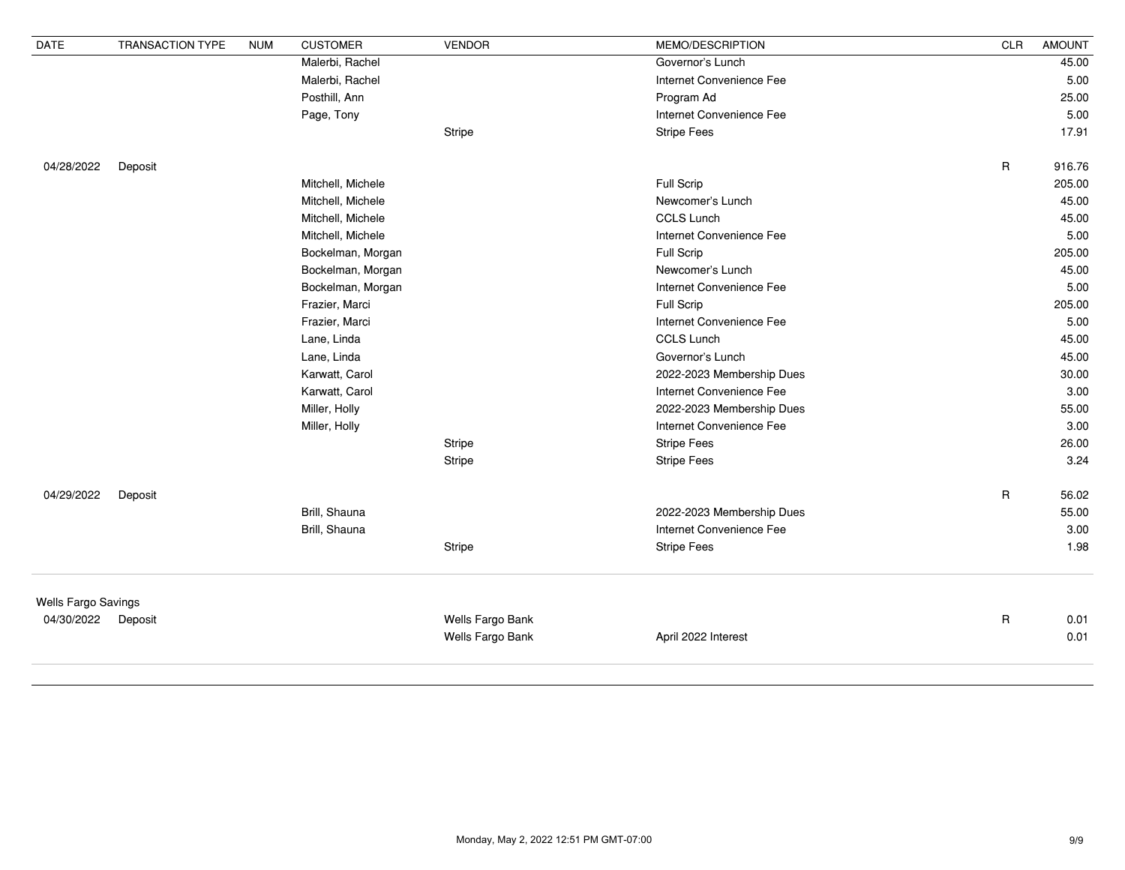| <b>DATE</b>         | <b>TRANSACTION TYPE</b> | <b>NUM</b>        | <b>CUSTOMER</b>   | <b>VENDOR</b>            | MEMO/DESCRIPTION          | <b>CLR</b>  | <b>AMOUNT</b> |
|---------------------|-------------------------|-------------------|-------------------|--------------------------|---------------------------|-------------|---------------|
|                     |                         |                   | Malerbi, Rachel   |                          | Governor's Lunch          |             | 45.00         |
|                     |                         |                   | Malerbi, Rachel   |                          | Internet Convenience Fee  |             | 5.00          |
|                     |                         |                   | Posthill, Ann     |                          | Program Ad                |             | 25.00         |
|                     |                         |                   | Page, Tony        |                          | Internet Convenience Fee  |             | 5.00          |
|                     |                         |                   |                   | <b>Stripe</b>            | <b>Stripe Fees</b>        |             | 17.91         |
| 04/28/2022          | Deposit                 |                   |                   |                          |                           | $\mathsf R$ | 916.76        |
|                     |                         |                   | Mitchell, Michele |                          | Full Scrip                |             | 205.00        |
|                     |                         |                   | Mitchell, Michele |                          | Newcomer's Lunch          |             | 45.00         |
|                     |                         |                   | Mitchell, Michele |                          | <b>CCLS Lunch</b>         |             | 45.00         |
|                     |                         | Mitchell, Michele |                   | Internet Convenience Fee |                           | 5.00        |               |
|                     |                         |                   | Bockelman, Morgan |                          | Full Scrip                |             | 205.00        |
|                     |                         |                   | Bockelman, Morgan |                          | Newcomer's Lunch          |             | 45.00         |
|                     |                         |                   | Bockelman, Morgan |                          | Internet Convenience Fee  |             | 5.00          |
|                     |                         |                   | Frazier, Marci    |                          | Full Scrip                |             | 205.00        |
|                     |                         |                   | Frazier, Marci    |                          | Internet Convenience Fee  |             | 5.00          |
|                     |                         |                   | Lane, Linda       |                          | <b>CCLS Lunch</b>         |             | 45.00         |
|                     |                         |                   | Lane, Linda       |                          | Governor's Lunch          |             | 45.00         |
|                     |                         |                   | Karwatt, Carol    |                          | 2022-2023 Membership Dues |             | 30.00         |
|                     |                         |                   | Karwatt, Carol    |                          | Internet Convenience Fee  |             | 3.00          |
|                     |                         |                   | Miller, Holly     |                          | 2022-2023 Membership Dues |             | 55.00         |
|                     |                         |                   | Miller, Holly     |                          | Internet Convenience Fee  |             | 3.00          |
|                     |                         |                   |                   | Stripe                   | <b>Stripe Fees</b>        |             | 26.00         |
|                     |                         |                   |                   | Stripe                   | <b>Stripe Fees</b>        |             | 3.24          |
| 04/29/2022          | Deposit                 |                   |                   |                          |                           | $\mathsf R$ | 56.02         |
|                     |                         |                   | Brill, Shauna     |                          | 2022-2023 Membership Dues |             | 55.00         |
|                     |                         |                   | Brill, Shauna     |                          | Internet Convenience Fee  |             | 3.00          |
|                     |                         |                   |                   | Stripe                   | <b>Stripe Fees</b>        |             | 1.98          |
| Wells Fargo Savings |                         |                   |                   |                          |                           |             |               |
| 04/30/2022 Deposit  |                         |                   |                   | Wells Fargo Bank         |                           | R           | 0.01          |
|                     |                         |                   |                   | Wells Fargo Bank         | April 2022 Interest       |             | 0.01          |
|                     |                         |                   |                   |                          |                           |             |               |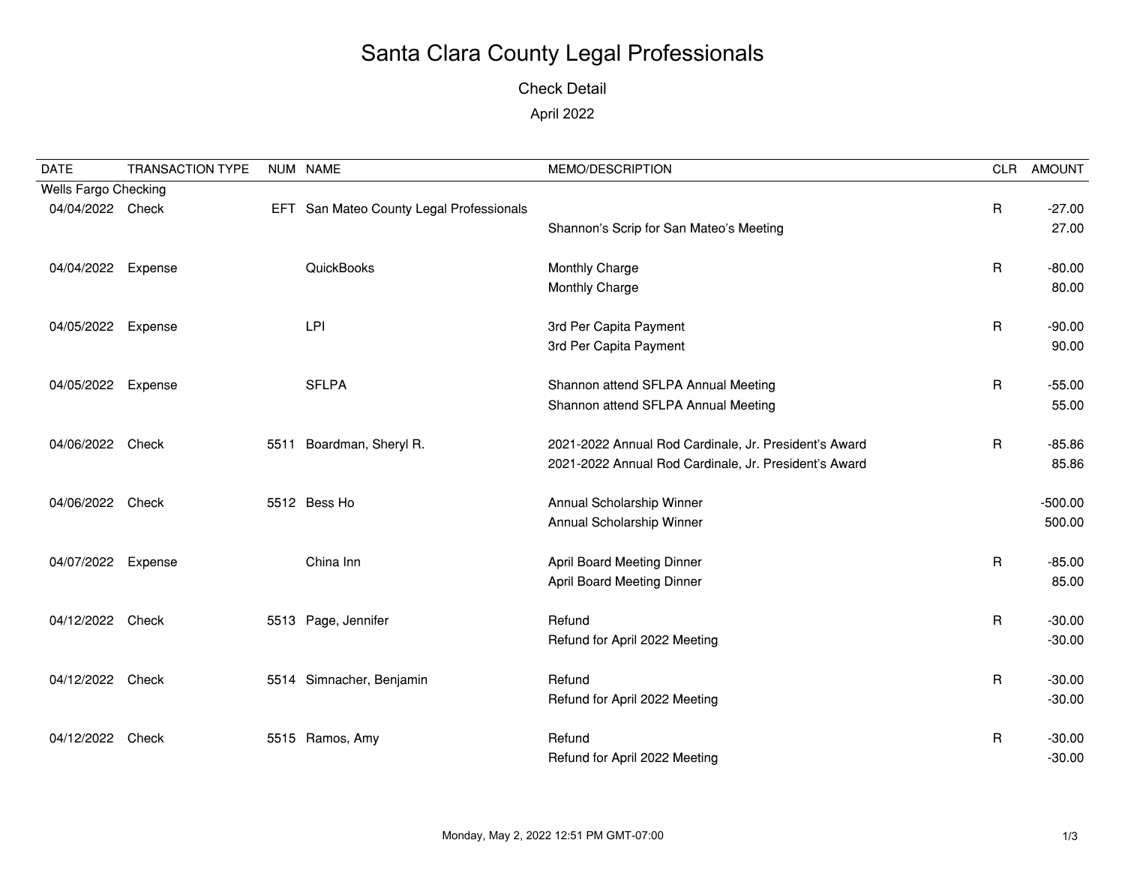### Check Detail

### April 2022

| <b>DATE</b>          | <b>TRANSACTION TYPE</b> |      | NUM NAME                                 | MEMO/DESCRIPTION                                      | CLR          | <b>AMOUNT</b> |
|----------------------|-------------------------|------|------------------------------------------|-------------------------------------------------------|--------------|---------------|
| Wells Fargo Checking |                         |      |                                          |                                                       |              |               |
| 04/04/2022 Check     |                         |      | EFT San Mateo County Legal Professionals |                                                       | $\mathsf{R}$ | $-27.00$      |
|                      |                         |      |                                          | Shannon's Scrip for San Mateo's Meeting               |              | 27.00         |
| 04/04/2022 Expense   |                         |      | QuickBooks                               | Monthly Charge                                        | $\mathsf{R}$ | $-80.00$      |
|                      |                         |      |                                          | Monthly Charge                                        |              | 80.00         |
| 04/05/2022           | Expense                 |      | LPI                                      | 3rd Per Capita Payment                                | $\mathsf{R}$ | $-90.00$      |
|                      |                         |      |                                          | 3rd Per Capita Payment                                |              | 90.00         |
| 04/05/2022           | Expense                 |      | <b>SFLPA</b>                             | Shannon attend SFLPA Annual Meeting                   | $\mathsf{R}$ | $-55.00$      |
|                      |                         |      |                                          | Shannon attend SFLPA Annual Meeting                   |              | 55.00         |
| 04/06/2022 Check     |                         | 5511 | Boardman, Sheryl R.                      | 2021-2022 Annual Rod Cardinale, Jr. President's Award | R            | $-85.86$      |
|                      |                         |      |                                          | 2021-2022 Annual Rod Cardinale, Jr. President's Award |              | 85.86         |
| 04/06/2022           | Check                   |      | 5512 Bess Ho                             | Annual Scholarship Winner                             |              | $-500.00$     |
|                      |                         |      |                                          | Annual Scholarship Winner                             |              | 500.00        |
| 04/07/2022 Expense   |                         |      | China Inn                                | <b>April Board Meeting Dinner</b>                     | $\mathsf{R}$ | $-85.00$      |
|                      |                         |      |                                          | <b>April Board Meeting Dinner</b>                     |              | 85.00         |
|                      |                         |      |                                          |                                                       |              |               |
| 04/12/2022           | Check                   |      | 5513 Page, Jennifer                      | Refund                                                | $\mathsf{R}$ | $-30.00$      |
|                      |                         |      |                                          | Refund for April 2022 Meeting                         |              | $-30.00$      |
| 04/12/2022           | Check                   |      | 5514 Simnacher, Benjamin                 | Refund                                                | $\mathsf{R}$ | $-30.00$      |
|                      |                         |      |                                          | Refund for April 2022 Meeting                         |              | $-30.00$      |
| 04/12/2022           | Check                   |      | 5515 Ramos, Amy                          | Refund                                                | R            | $-30.00$      |
|                      |                         |      |                                          | Refund for April 2022 Meeting                         |              | $-30.00$      |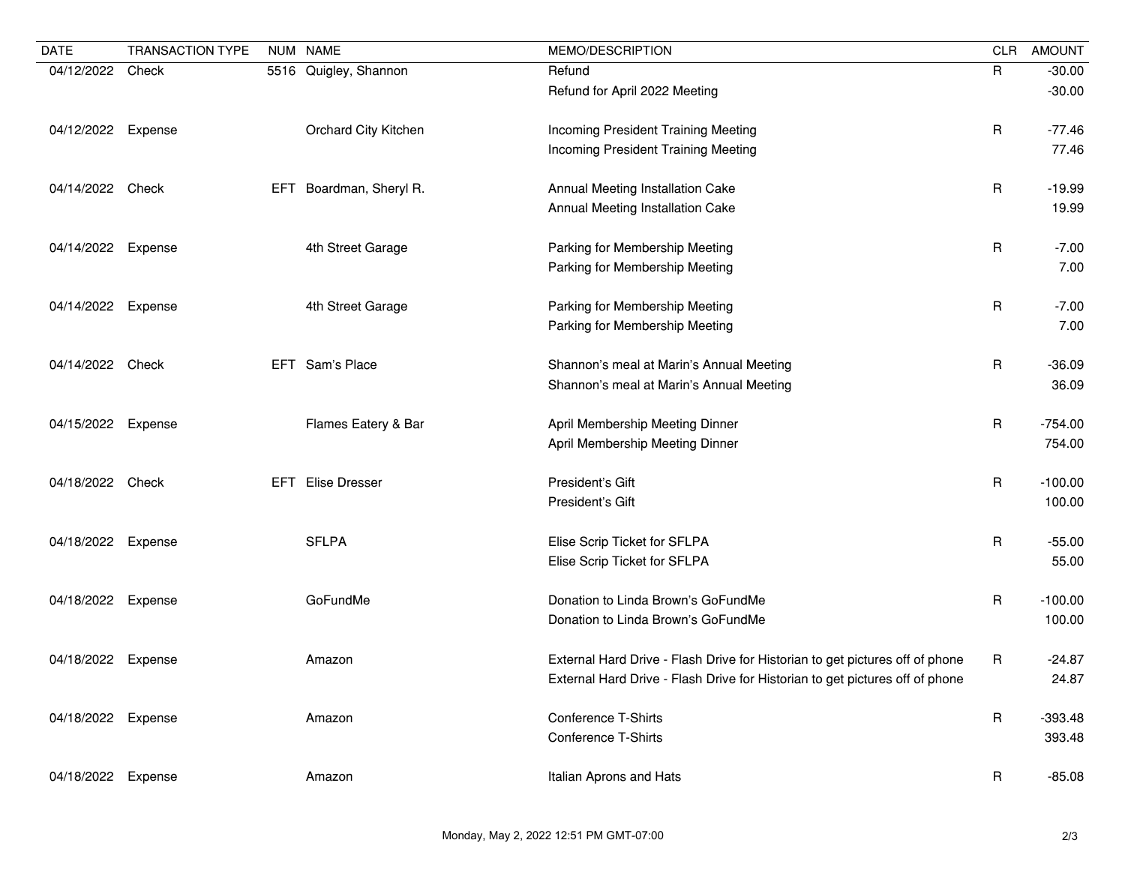| <b>DATE</b>        | <b>TRANSACTION TYPE</b> |            | NUM NAME              | MEMO/DESCRIPTION                                                                                                                                             | <b>CLR</b>   | <b>AMOUNT</b>        |
|--------------------|-------------------------|------------|-----------------------|--------------------------------------------------------------------------------------------------------------------------------------------------------------|--------------|----------------------|
| 04/12/2022         | Check                   |            | 5516 Quigley, Shannon | Refund<br>Refund for April 2022 Meeting                                                                                                                      | $\mathsf{R}$ | $-30.00$<br>$-30.00$ |
| 04/12/2022         | Expense                 |            | Orchard City Kitchen  | Incoming President Training Meeting<br><b>Incoming President Training Meeting</b>                                                                            | R            | $-77.46$<br>77.46    |
| 04/14/2022 Check   |                         | EFT        | Boardman, Sheryl R.   | Annual Meeting Installation Cake<br>Annual Meeting Installation Cake                                                                                         | R            | $-19.99$<br>19.99    |
| 04/14/2022         | Expense                 |            | 4th Street Garage     | Parking for Membership Meeting<br>Parking for Membership Meeting                                                                                             | $\mathsf R$  | $-7.00$<br>7.00      |
| 04/14/2022 Expense |                         |            | 4th Street Garage     | Parking for Membership Meeting<br>Parking for Membership Meeting                                                                                             | $\mathsf R$  | $-7.00$<br>7.00      |
| 04/14/2022 Check   |                         |            | EFT Sam's Place       | Shannon's meal at Marin's Annual Meeting<br>Shannon's meal at Marin's Annual Meeting                                                                         | R            | $-36.09$<br>36.09    |
| 04/15/2022         | Expense                 |            | Flames Eatery & Bar   | April Membership Meeting Dinner<br>April Membership Meeting Dinner                                                                                           | R            | $-754.00$<br>754.00  |
| 04/18/2022 Check   |                         | <b>EFT</b> | <b>Elise Dresser</b>  | President's Gift<br>President's Gift                                                                                                                         | R            | $-100.00$<br>100.00  |
| 04/18/2022         | Expense                 |            | <b>SFLPA</b>          | Elise Scrip Ticket for SFLPA<br>Elise Scrip Ticket for SFLPA                                                                                                 | R            | $-55.00$<br>55.00    |
| 04/18/2022         | Expense                 |            | GoFundMe              | Donation to Linda Brown's GoFundMe<br>Donation to Linda Brown's GoFundMe                                                                                     | R            | $-100.00$<br>100.00  |
| 04/18/2022         | Expense                 |            | Amazon                | External Hard Drive - Flash Drive for Historian to get pictures off of phone<br>External Hard Drive - Flash Drive for Historian to get pictures off of phone | R            | $-24.87$<br>24.87    |
| 04/18/2022         | Expense                 |            | Amazon                | <b>Conference T-Shirts</b><br><b>Conference T-Shirts</b>                                                                                                     | $\mathsf R$  | $-393.48$<br>393.48  |
| 04/18/2022         | Expense                 |            | Amazon                | Italian Aprons and Hats                                                                                                                                      | $\mathsf{R}$ | $-85.08$             |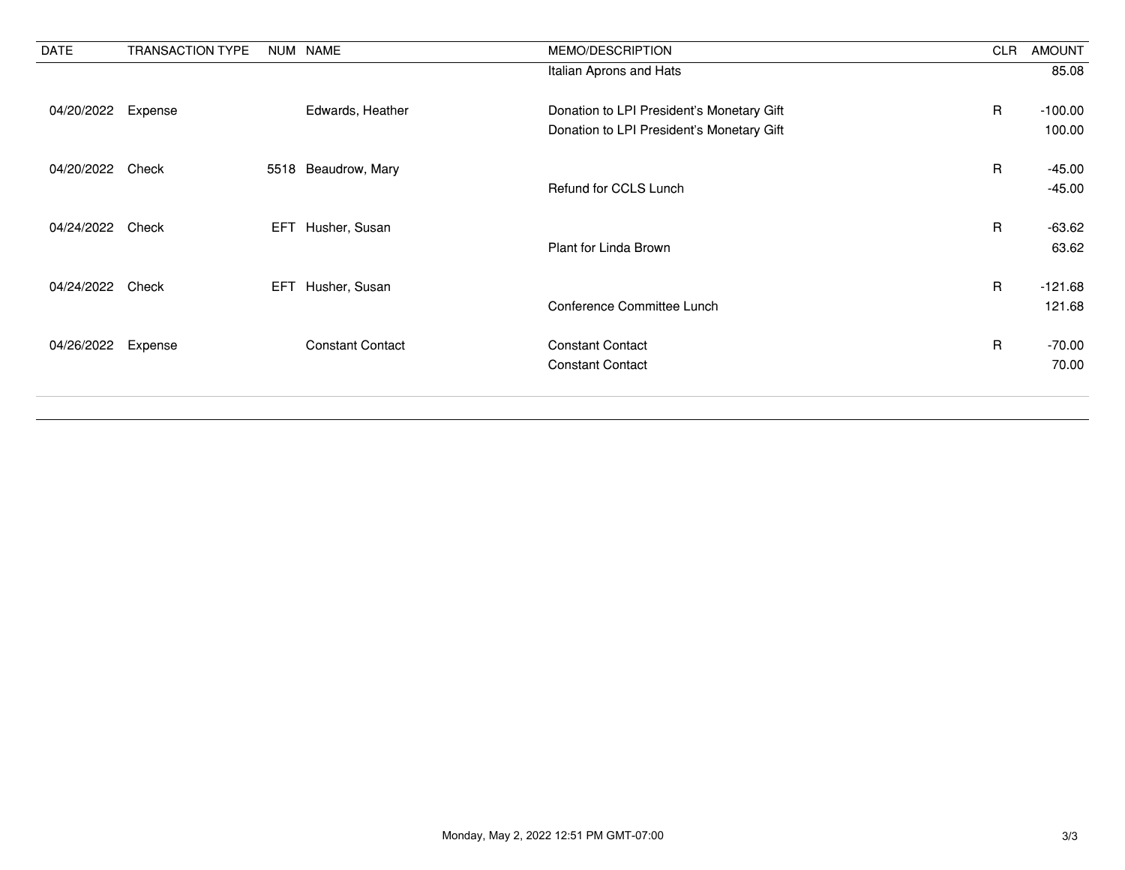| <b>DATE</b>      | <b>TRANSACTION TYPE</b> |     | NUM NAME                | MEMO/DESCRIPTION                          | <b>CLR</b>   | <b>AMOUNT</b> |
|------------------|-------------------------|-----|-------------------------|-------------------------------------------|--------------|---------------|
|                  |                         |     |                         | Italian Aprons and Hats                   |              | 85.08         |
|                  |                         |     |                         |                                           |              |               |
| 04/20/2022       | Expense                 |     | Edwards, Heather        | Donation to LPI President's Monetary Gift | $\mathsf{R}$ | $-100.00$     |
|                  |                         |     |                         | Donation to LPI President's Monetary Gift |              | 100.00        |
| 04/20/2022 Check |                         |     | 5518 Beaudrow, Mary     |                                           | $\mathsf{R}$ | $-45.00$      |
|                  |                         |     |                         |                                           |              |               |
|                  |                         |     |                         | Refund for CCLS Lunch                     |              | $-45.00$      |
| 04/24/2022       | Check                   |     | EFT Husher, Susan       |                                           | $\mathsf{R}$ | $-63.62$      |
|                  |                         |     |                         | Plant for Linda Brown                     |              | 63.62         |
|                  |                         |     |                         |                                           |              |               |
| 04/24/2022       | Check                   | EFT | Husher, Susan           |                                           | $\mathsf{R}$ | $-121.68$     |
|                  |                         |     |                         | Conference Committee Lunch                |              | 121.68        |
| 04/26/2022       | Expense                 |     | <b>Constant Contact</b> | <b>Constant Contact</b>                   | $\mathsf{R}$ | $-70.00$      |
|                  |                         |     |                         | <b>Constant Contact</b>                   |              | 70.00         |
|                  |                         |     |                         |                                           |              |               |
|                  |                         |     |                         |                                           |              |               |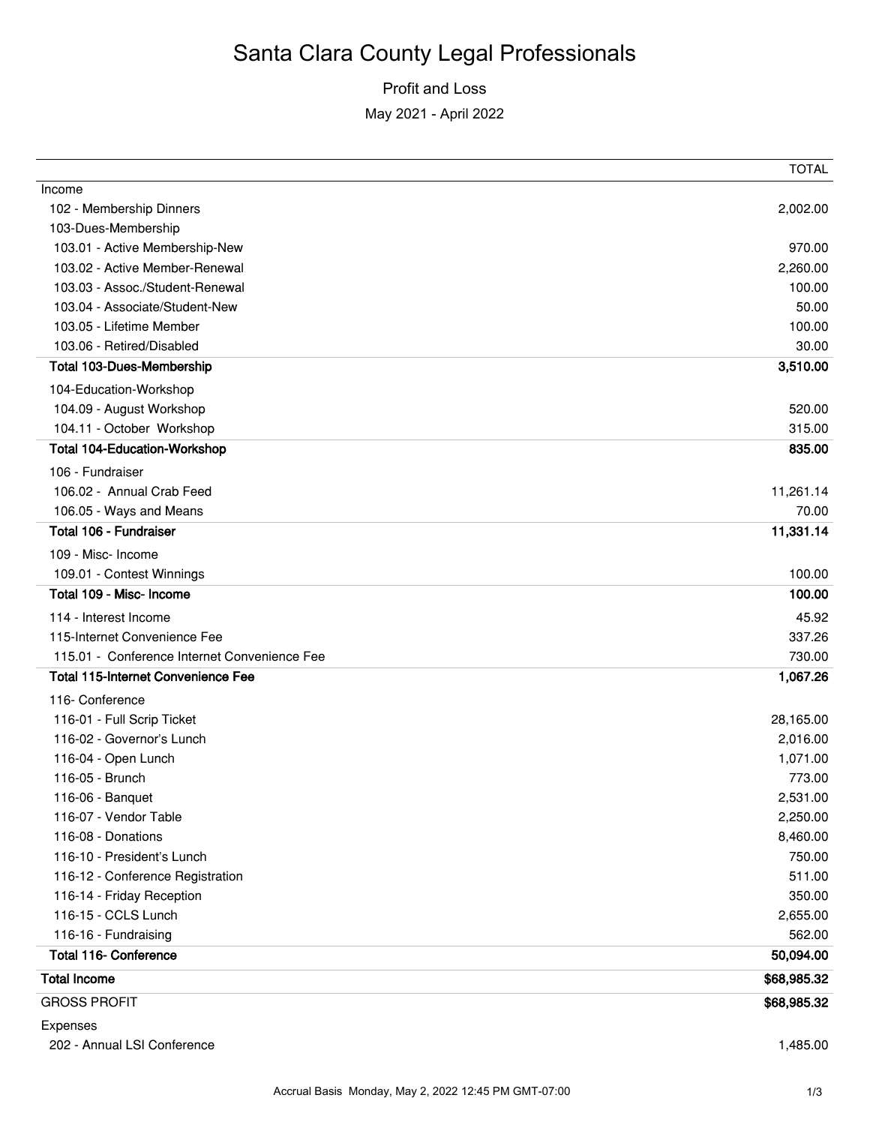Profit and Loss

May 2021 - April 2022

|                                              | <b>TOTAL</b> |
|----------------------------------------------|--------------|
| Income                                       |              |
| 102 - Membership Dinners                     | 2,002.00     |
| 103-Dues-Membership                          |              |
| 103.01 - Active Membership-New               | 970.00       |
| 103.02 - Active Member-Renewal               | 2,260.00     |
| 103.03 - Assoc./Student-Renewal              | 100.00       |
| 103.04 - Associate/Student-New               | 50.00        |
| 103.05 - Lifetime Member                     | 100.00       |
| 103.06 - Retired/Disabled                    | 30.00        |
| <b>Total 103-Dues-Membership</b>             | 3,510.00     |
| 104-Education-Workshop                       |              |
| 104.09 - August Workshop                     | 520.00       |
| 104.11 - October Workshop                    | 315.00       |
| <b>Total 104-Education-Workshop</b>          | 835.00       |
| 106 - Fundraiser                             |              |
| 106.02 - Annual Crab Feed                    | 11,261.14    |
| 106.05 - Ways and Means                      | 70.00        |
| Total 106 - Fundraiser                       | 11,331.14    |
| 109 - Misc- Income                           |              |
| 109.01 - Contest Winnings                    | 100.00       |
| Total 109 - Misc- Income                     | 100.00       |
| 114 - Interest Income                        | 45.92        |
| 115-Internet Convenience Fee                 | 337.26       |
| 115.01 - Conference Internet Convenience Fee | 730.00       |
| <b>Total 115-Internet Convenience Fee</b>    | 1,067.26     |
| 116- Conference                              |              |
| 116-01 - Full Scrip Ticket                   | 28,165.00    |
| 116-02 - Governor's Lunch                    | 2,016.00     |
| 116-04 - Open Lunch                          | 1,071.00     |
| 116-05 - Brunch                              | 773.00       |
| 116-06 - Banquet                             | 2,531.00     |
| 116-07 - Vendor Table                        | 2,250.00     |
| 116-08 - Donations                           | 8,460.00     |
| 116-10 - President's Lunch                   | 750.00       |
| 116-12 - Conference Registration             | 511.00       |
| 116-14 - Friday Reception                    | 350.00       |
| 116-15 - CCLS Lunch                          | 2,655.00     |
| 116-16 - Fundraising                         | 562.00       |
| <b>Total 116- Conference</b>                 | 50,094.00    |
| <b>Total Income</b>                          | \$68,985.32  |
| <b>GROSS PROFIT</b>                          | \$68,985.32  |
| Expenses                                     |              |
| 202 - Annual LSI Conference                  | 1,485.00     |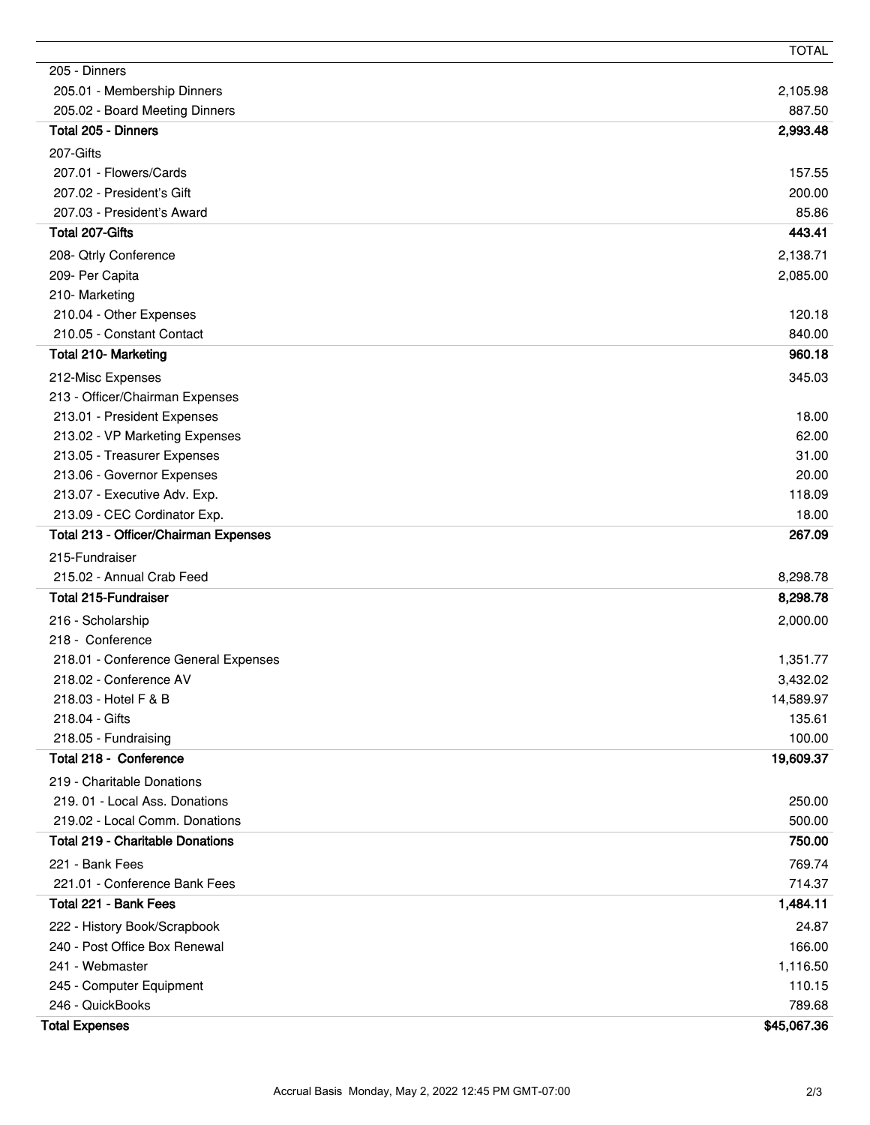|                                                               | <b>TOTAL</b>         |
|---------------------------------------------------------------|----------------------|
| 205 - Dinners                                                 |                      |
| 205.01 - Membership Dinners                                   | 2,105.98             |
| 205.02 - Board Meeting Dinners                                | 887.50               |
| Total 205 - Dinners                                           | 2,993.48             |
| 207-Gifts                                                     |                      |
| 207.01 - Flowers/Cards                                        | 157.55               |
| 207.02 - President's Gift                                     | 200.00               |
| 207.03 - President's Award                                    | 85.86                |
| Total 207-Gifts                                               | 443.41               |
| 208- Qtrly Conference                                         | 2,138.71             |
| 209- Per Capita                                               | 2,085.00             |
| 210-Marketing                                                 |                      |
| 210.04 - Other Expenses                                       | 120.18               |
| 210.05 - Constant Contact                                     | 840.00               |
| Total 210- Marketing                                          | 960.18               |
| 212-Misc Expenses                                             | 345.03               |
| 213 - Officer/Chairman Expenses                               |                      |
| 213.01 - President Expenses                                   | 18.00                |
| 213.02 - VP Marketing Expenses                                | 62.00                |
| 213.05 - Treasurer Expenses                                   | 31.00                |
| 213.06 - Governor Expenses<br>213.07 - Executive Adv. Exp.    | 20.00<br>118.09      |
| 213.09 - CEC Cordinator Exp.                                  | 18.00                |
| Total 213 - Officer/Chairman Expenses                         | 267.09               |
|                                                               |                      |
| 215-Fundraiser                                                |                      |
| 215.02 - Annual Crab Feed<br><b>Total 215-Fundraiser</b>      | 8,298.78<br>8,298.78 |
|                                                               |                      |
| 216 - Scholarship                                             | 2,000.00             |
| 218 - Conference<br>218.01 - Conference General Expenses      |                      |
| 218.02 - Conference AV                                        | 1,351.77<br>3,432.02 |
| 218.03 - Hotel F & B                                          | 14,589.97            |
| 218.04 - Gifts                                                | 135.61               |
| 218.05 - Fundraising                                          | 100.00               |
| Total 218 - Conference                                        | 19,609.37            |
| 219 - Charitable Donations                                    |                      |
| 219.01 - Local Ass. Donations                                 | 250.00               |
| 219.02 - Local Comm. Donations                                | 500.00               |
| <b>Total 219 - Charitable Donations</b>                       | 750.00               |
| 221 - Bank Fees                                               | 769.74               |
| 221.01 - Conference Bank Fees                                 | 714.37               |
| Total 221 - Bank Fees                                         | 1,484.11             |
|                                                               |                      |
| 222 - History Book/Scrapbook<br>240 - Post Office Box Renewal | 24.87<br>166.00      |
| 241 - Webmaster                                               | 1,116.50             |
| 245 - Computer Equipment                                      | 110.15               |
| 246 - QuickBooks                                              | 789.68               |
| <b>Total Expenses</b>                                         | \$45,067.36          |
|                                                               |                      |